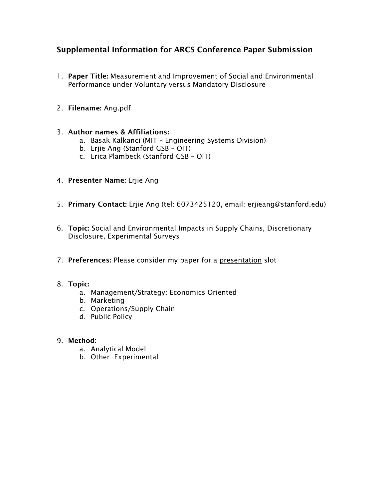# Supplemental Information for ARCS Conference Paper Submission

- 1. Paper Title: Measurement and Improvement of Social and Environmental Performance under Voluntary versus Mandatory Disclosure
- 2. Filename: Ang.pdf

# 3. Author names & Affiliations:

- a. Basak Kalkanci (MIT Engineering Systems Division)
- b. Erjie Ang (Stanford GSB OIT)
- c. Erica Plambeck (Stanford GSB OIT)
- 4. Presenter Name: Erjie Ang
- 5. Primary Contact: Erjie Ang (tel: 6073425120, email: erjieang@stanford.edu)
- 6. Topic: Social and Environmental Impacts in Supply Chains, Discretionary Disclosure, Experimental Surveys
- 7. Preferences: Please consider my paper for a presentation slot

# 8. Topic:

- a. Management/Strategy: Economics Oriented
- b. Marketing
- c. Operations/Supply Chain
- d. Public Policy

# 9. Method:

- a. Analytical Model
- b. Other: Experimental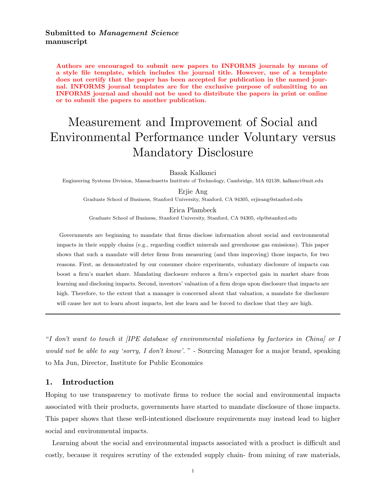Submitted to *Management Science* manuscript

Authors are encouraged to submit new papers to INFORMS journals by means of a style file template, which includes the journal title. However, use of a template does not certify that the paper has been accepted for publication in the named journal. INFORMS journal templates are for the exclusive purpose of submitting to an INFORMS journal and should not be used to distribute the papers in print or online or to submit the papers to another publication.

# Measurement and Improvement of Social and Environmental Performance under Voluntary versus Mandatory Disclosure

Basak Kalkanci

Engineering Systems Division, Massachusetts Institute of Technology, Cambridge, MA 02139, kalkanci@mit.edu

Erjie Ang

Graduate School of Business, Stanford University, Stanford, CA 94305, erjieang@stanford.edu

Erica Plambeck Graduate School of Business, Stanford University, Stanford, CA 94305, elp@stanford.edu

Governments are beginning to mandate that firms disclose information about social and environmental impacts in their supply chains (e.g., regarding conflict minerals and greenhouse gas emissions). This paper shows that such a mandate will deter firms from measuring (and thus improving) those impacts, for two reasons. First, as demonstrated by our consumer choice experiments, voluntary disclosure of impacts can boost a firm's market share. Mandating disclosure reduces a firm's expected gain in market share from learning and disclosing impacts. Second, investors' valuation of a firm drops upon disclosure that impacts are high. Therefore, to the extent that a manager is concerned about that valuation, a mandate for disclosure will cause her not to learn about impacts, lest she learn and be forced to disclose that they are high.

"I don't want to touch it [IPE database of environmental violations by factories in China] or I would not be able to say 'sorry, I don't know'. " - Sourcing Manager for a major brand, speaking to Ma Jun, Director, Institute for Public Economics

#### 1. Introduction

Hoping to use transparency to motivate firms to reduce the social and environmental impacts associated with their products, governments have started to mandate disclosure of those impacts. This paper shows that these well-intentioned disclosure requirements may instead lead to higher social and environmental impacts.

Learning about the social and environmental impacts associated with a product is difficult and costly, because it requires scrutiny of the extended supply chain- from mining of raw materials,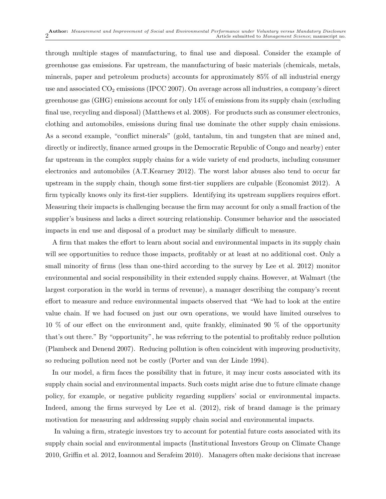through multiple stages of manufacturing, to final use and disposal. Consider the example of greenhouse gas emissions. Far upstream, the manufacturing of basic materials (chemicals, metals, minerals, paper and petroleum products) accounts for approximately 85% of all industrial energy use and associated  $CO_2$  emissions (IPCC 2007). On average across all industries, a company's direct greenhouse gas (GHG) emissions account for only 14% of emissions from its supply chain (excluding final use, recycling and disposal) (Matthews et al. 2008). For products such as consumer electronics, clothing and automobiles, emissions during final use dominate the other supply chain emissions. As a second example, "conflict minerals" (gold, tantalum, tin and tungsten that are mined and, directly or indirectly, finance armed groups in the Democratic Republic of Congo and nearby) enter far upstream in the complex supply chains for a wide variety of end products, including consumer electronics and automobiles (A.T.Kearney 2012). The worst labor abuses also tend to occur far upstream in the supply chain, though some first-tier suppliers are culpable (Economist 2012). A firm typically knows only its first-tier suppliers. Identifying its upstream suppliers requires effort. Measuring their impacts is challenging because the firm may account for only a small fraction of the supplier's business and lacks a direct sourcing relationship. Consumer behavior and the associated impacts in end use and disposal of a product may be similarly difficult to measure.

A firm that makes the effort to learn about social and environmental impacts in its supply chain will see opportunities to reduce those impacts, profitably or at least at no additional cost. Only a small minority of firms (less than one-third according to the survey by Lee et al. 2012) monitor environmental and social responsibility in their extended supply chains. However, at Walmart (the largest corporation in the world in terms of revenue), a manager describing the company's recent effort to measure and reduce environmental impacts observed that "We had to look at the entire value chain. If we had focused on just our own operations, we would have limited ourselves to 10 % of our effect on the environment and, quite frankly, eliminated 90 % of the opportunity that's out there." By "opportunity", he was referring to the potential to profitably reduce pollution (Plambeck and Denend 2007). Reducing pollution is often coincident with improving productivity, so reducing pollution need not be costly (Porter and van der Linde 1994).

In our model, a firm faces the possibility that in future, it may incur costs associated with its supply chain social and environmental impacts. Such costs might arise due to future climate change policy, for example, or negative publicity regarding suppliers' social or environmental impacts. Indeed, among the firms surveyed by Lee et al. (2012), risk of brand damage is the primary motivation for measuring and addressing supply chain social and environmental impacts.

In valuing a firm, strategic investors try to account for potential future costs associated with its supply chain social and environmental impacts (Institutional Investors Group on Climate Change 2010, Griffin et al. 2012, Ioannou and Serafeim 2010). Managers often make decisions that increase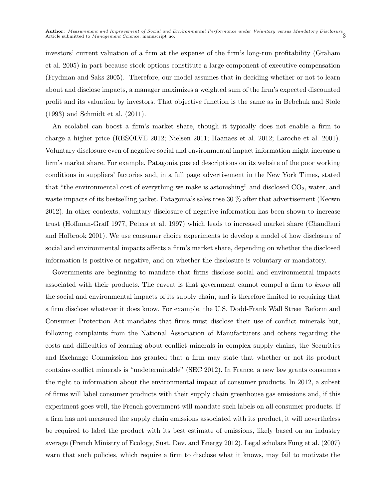investors' current valuation of a firm at the expense of the firm's long-run profitability (Graham et al. 2005) in part because stock options constitute a large component of executive compensation (Frydman and Saks 2005). Therefore, our model assumes that in deciding whether or not to learn about and disclose impacts, a manager maximizes a weighted sum of the firm's expected discounted profit and its valuation by investors. That objective function is the same as in Bebchuk and Stole (1993) and Schmidt et al. (2011).

An ecolabel can boost a firm's market share, though it typically does not enable a firm to charge a higher price (RESOLVE 2012; Nielsen 2011; Haanaes et al. 2012; Laroche et al. 2001). Voluntary disclosure even of negative social and environmental impact information might increase a firm's market share. For example, Patagonia posted descriptions on its website of the poor working conditions in suppliers' factories and, in a full page advertisement in the New York Times, stated that "the environmental cost of everything we make is astonishing" and disclosed  $CO<sub>2</sub>$ , water, and waste impacts of its bestselling jacket. Patagonia's sales rose 30 % after that advertisement (Keown 2012). In other contexts, voluntary disclosure of negative information has been shown to increase trust (Hoffman-Graff 1977, Peters et al. 1997) which leads to increased market share (Chaudhuri and Holbrook 2001). We use consumer choice experiments to develop a model of how disclosure of social and environmental impacts affects a firm's market share, depending on whether the disclosed information is positive or negative, and on whether the disclosure is voluntary or mandatory.

Governments are beginning to mandate that firms disclose social and environmental impacts associated with their products. The caveat is that government cannot compel a firm to know all the social and environmental impacts of its supply chain, and is therefore limited to requiring that a firm disclose whatever it does know. For example, the U.S. Dodd-Frank Wall Street Reform and Consumer Protection Act mandates that firms must disclose their use of conflict minerals but, following complaints from the National Association of Manufacturers and others regarding the costs and difficulties of learning about conflict minerals in complex supply chains, the Securities and Exchange Commission has granted that a firm may state that whether or not its product contains conflict minerals is "undeterminable" (SEC 2012). In France, a new law grants consumers the right to information about the environmental impact of consumer products. In 2012, a subset of firms will label consumer products with their supply chain greenhouse gas emissions and, if this experiment goes well, the French government will mandate such labels on all consumer products. If a firm has not measured the supply chain emissions associated with its product, it will nevertheless be required to label the product with its best estimate of emissions, likely based on an industry average (French Ministry of Ecology, Sust. Dev. and Energy 2012). Legal scholars Fung et al. (2007) warn that such policies, which require a firm to disclose what it knows, may fail to motivate the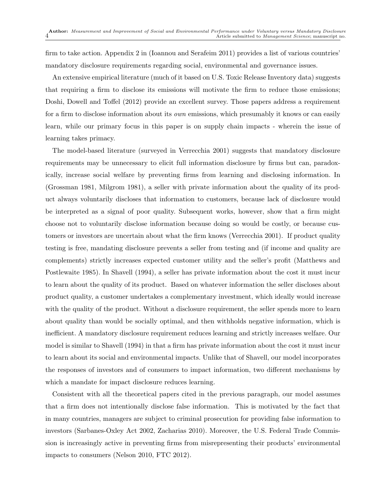firm to take action. Appendix 2 in (Ioannou and Serafeim 2011) provides a list of various countries' mandatory disclosure requirements regarding social, environmental and governance issues.

An extensive empirical literature (much of it based on U.S. Toxic Release Inventory data) suggests that requiring a firm to disclose its emissions will motivate the firm to reduce those emissions; Doshi, Dowell and Toffel (2012) provide an excellent survey. Those papers address a requirement for a firm to disclose information about its *own* emissions, which presumably it knows or can easily learn, while our primary focus in this paper is on supply chain impacts - wherein the issue of learning takes primacy.

The model-based literature (surveyed in Verrecchia 2001) suggests that mandatory disclosure requirements may be unnecessary to elicit full information disclosure by firms but can, paradoxically, increase social welfare by preventing firms from learning and disclosing information. In (Grossman 1981, Milgrom 1981), a seller with private information about the quality of its product always voluntarily discloses that information to customers, because lack of disclosure would be interpreted as a signal of poor quality. Subsequent works, however, show that a firm might choose not to voluntarily disclose information because doing so would be costly, or because customers or investors are uncertain about what the firm knows (Verrecchia 2001). If product quality testing is free, mandating disclosure prevents a seller from testing and (if income and quality are complements) strictly increases expected customer utility and the seller's profit (Matthews and Postlewaite 1985). In Shavell (1994), a seller has private information about the cost it must incur to learn about the quality of its product. Based on whatever information the seller discloses about product quality, a customer undertakes a complementary investment, which ideally would increase with the quality of the product. Without a disclosure requirement, the seller spends more to learn about quality than would be socially optimal, and then withholds negative information, which is inefficient. A mandatory disclosure requirement reduces learning and strictly increases welfare. Our model is similar to Shavell (1994) in that a firm has private information about the cost it must incur to learn about its social and environmental impacts. Unlike that of Shavell, our model incorporates the responses of investors and of consumers to impact information, two different mechanisms by which a mandate for impact disclosure reduces learning.

Consistent with all the theoretical papers cited in the previous paragraph, our model assumes that a firm does not intentionally disclose false information. This is motivated by the fact that in many countries, managers are subject to criminal prosecution for providing false information to investors (Sarbanes-Oxley Act 2002, Zacharias 2010). Moreover, the U.S. Federal Trade Commission is increasingly active in preventing firms from misrepresenting their products' environmental impacts to consumers (Nelson 2010, FTC 2012).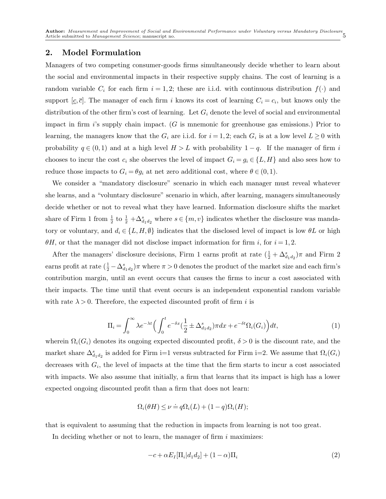## 2. Model Formulation

Managers of two competing consumer-goods firms simultaneously decide whether to learn about the social and environmental impacts in their respective supply chains. The cost of learning is a random variable  $C_i$  for each firm  $i = 1, 2$ ; these are i.i.d. with continuous distribution  $f(\cdot)$  and support  $[c, \bar{c}]$ . The manager of each firm i knows its cost of learning  $C_i = c_i$ , but knows only the distribution of the other firm's cost of learning. Let  $G_i$  denote the level of social and environmental impact in firm  $i$ 's supply chain impact. (G is mnemonic for greenhouse gas emissions.) Prior to learning, the managers know that the  $G_i$  are i.i.d. for  $i = 1, 2$ ; each  $G_i$  is at a low level  $L \ge 0$  with probability  $q \in (0,1)$  and at a high level  $H>L$  with probability  $1-q$ . If the manager of firm i chooses to incur the cost  $c_i$  she observes the level of impact  $G_i = g_i \in \{L, H\}$  and also sees how to reduce those impacts to  $G_i = \theta g_i$  at net zero additional cost, where  $\theta \in (0,1)$ .

We consider a "mandatory disclosure" scenario in which each manager must reveal whatever she learns, and a "voluntary disclosure" scenario in which, after learning, managers simultaneously decide whether or not to reveal what they have learned. Information disclosure shifts the market share of Firm 1 from  $\frac{1}{2}$  to  $\frac{1}{2} + \Delta_{d_1d_2}^s$  where  $s \in \{m, v\}$  indicates whether the disclosure was mandatory or voluntary, and  $d_i \in \{L, H, \emptyset\}$  indicates that the disclosed level of impact is low  $\theta L$  or high  $\theta$ H, or that the manager did not disclose impact information for firm i, for  $i = 1, 2$ .

After the managers' disclosure decisions, Firm 1 earns profit at rate  $(\frac{1}{2} + \Delta_{d_1d_2}^s)\pi$  and Firm 2 earns profit at rate  $(\frac{1}{2} - \Delta_{d_1d_2}^s)\pi$  where  $\pi > 0$  denotes the product of the market size and each firm's contribution margin, until an event occurs that causes the firms to incur a cost associated with their impacts. The time until that event occurs is an independent exponential random variable with rate  $\lambda > 0$ . Therefore, the expected discounted profit of firm *i* is

$$
\Pi_i = \int_0^\infty \lambda e^{-\lambda t} \left( \int_0^t e^{-\delta x} \left( \frac{1}{2} \pm \Delta_{d_1 d_2}^s \right) \pi dx + e^{-\delta t} \Omega_i(G_i) \right) dt,\tag{1}
$$

wherein  $\Omega_i(G_i)$  denotes its ongoing expected discounted profit,  $\delta > 0$  is the discount rate, and the market share  $\Delta_{d_1d_2}^s$  is added for Firm i=1 versus subtracted for Firm i=2. We assume that  $\Omega_i(G_i)$ decreases with  $G_i$ , the level of impacts at the time that the firm starts to incur a cost associated with impacts. We also assume that initially, a firm that learns that its impact is high has a lower expected ongoing discounted profit than a firm that does not learn:

$$
\Omega_i(\theta H) \le \nu \doteq q\Omega_i(L) + (1-q)\Omega_i(H);
$$

that is equivalent to assuming that the reduction in impacts from learning is not too great.

In deciding whether or not to learn, the manager of firm  $i$  maximizes:

$$
-c + \alpha E_I[\Pi_i|d_1d_2] + (1-\alpha)\Pi_i
$$
\n(2)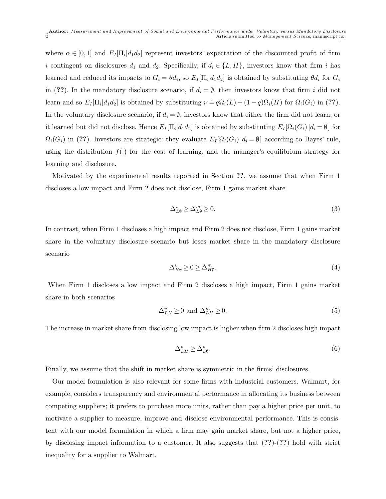where  $\alpha \in [0,1]$  and  $E_I[\Pi_i|d_1d_2]$  represent investors' expectation of the discounted profit of firm i contingent on disclosures  $d_1$  and  $d_2$ . Specifically, if  $d_i \in \{L, H\}$ , investors know that firm i has learned and reduced its impacts to  $G_i = \theta d_i$ , so  $E_I[\Pi_i | d_1 d_2]$  is obtained by substituting  $\theta d_i$  for  $G_i$ in (??). In the mandatory disclosure scenario, if  $d_i = \emptyset$ , then investors know that firm i did not learn and so  $E_I[\Pi_i|d_1d_2]$  is obtained by substituting  $\nu \doteq q\Omega_i(L) + (1-q)\Omega_i(H)$  for  $\Omega_i(G_i)$  in (??). In the voluntary disclosure scenario, if  $d_i = \emptyset$ , investors know that either the firm did not learn, or it learned but did not disclose. Hence  $E_I[\Pi_i|d_1d_2]$  is obtained by substituting  $E_I[\Omega_i(G_i)|d_i = \emptyset]$  for  $\Omega_i(G_i)$  in (??). Investors are strategic: they evaluate  $E_I[\Omega_i(G_i)|d_i = \emptyset]$  according to Bayes' rule, using the distribution  $f(\cdot)$  for the cost of learning, and the manager's equilibrium strategy for learning and disclosure.

Motivated by the experimental results reported in Section ??, we assume that when Firm 1 discloses a low impact and Firm 2 does not disclose, Firm 1 gains market share

$$
\Delta_{L\emptyset}^v \ge \Delta_{L\emptyset}^m \ge 0. \tag{3}
$$

In contrast, when Firm 1 discloses a high impact and Firm 2 does not disclose, Firm 1 gains market share in the voluntary disclosure scenario but loses market share in the mandatory disclosure scenario

$$
\Delta_{H\emptyset}^v \ge 0 \ge \Delta_{H\emptyset}^m. \tag{4}
$$

When Firm 1 discloses a low impact and Firm 2 discloses a high impact, Firm 1 gains market share in both scenarios

$$
\Delta_{LH}^v \ge 0 \text{ and } \Delta_{LH}^m \ge 0. \tag{5}
$$

The increase in market share from disclosing low impact is higher when firm 2 discloses high impact

$$
\Delta_{LH}^v \ge \Delta_{L\emptyset}^v. \tag{6}
$$

Finally, we assume that the shift in market share is symmetric in the firms' disclosures.

Our model formulation is also relevant for some firms with industrial customers. Walmart, for example, considers transparency and environmental performance in allocating its business between competing suppliers; it prefers to purchase more units, rather than pay a higher price per unit, to motivate a supplier to measure, improve and disclose environmental performance. This is consistent with our model formulation in which a firm may gain market share, but not a higher price, by disclosing impact information to a customer. It also suggests that (??)-(??) hold with strict inequality for a supplier to Walmart.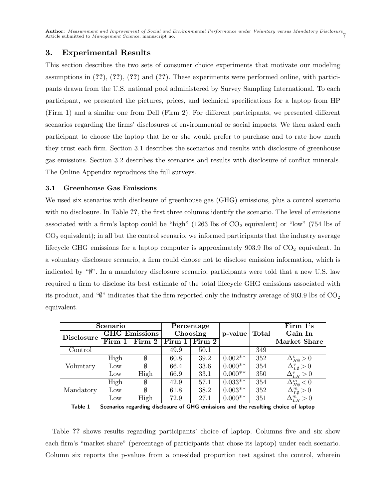# 3. Experimental Results

This section describes the two sets of consumer choice experiments that motivate our modeling assumptions in  $(??)$ ,  $(??)$ ,  $(??)$  and  $(??)$ . These experiments were performed online, with participants drawn from the U.S. national pool administered by Survey Sampling International. To each participant, we presented the pictures, prices, and technical specifications for a laptop from HP (Firm 1) and a similar one from Dell (Firm 2). For different participants, we presented different scenarios regarding the firms' disclosures of environmental or social impacts. We then asked each participant to choose the laptop that he or she would prefer to purchase and to rate how much they trust each firm. Section 3.1 describes the scenarios and results with disclosure of greenhouse gas emissions. Section 3.2 describes the scenarios and results with disclosure of conflict minerals. The Online Appendix reproduces the full surveys.

#### 3.1 Greenhouse Gas Emissions

We used six scenarios with disclosure of greenhouse gas (GHG) emissions, plus a control scenario with no disclosure. In Table ??, the first three columns identify the scenario. The level of emissions associated with a firm's laptop could be "high" (1263 lbs of  $CO<sub>2</sub>$  equivalent) or "low" (754 lbs of  $CO<sub>2</sub>$  equivalent); in all but the control scenario, we informed participants that the industry average lifecycle GHG emissions for a laptop computer is approximately  $903.9$  lbs of  $CO<sub>2</sub>$  equivalent. In a voluntary disclosure scenario, a firm could choose not to disclose emission information, which is indicated by "∅". In a mandatory disclosure scenario, participants were told that a new U.S. law required a firm to disclose its best estimate of the total lifecycle GHG emissions associated with its product, and " $\mathbf{W}$ " indicates that the firm reported only the industry average of 903.9 lbs of  $\mathrm{CO}_2$ equivalent.

| Scenario          |                      |        | Percentage |                            |           |              | Firm 1's                               |
|-------------------|----------------------|--------|------------|----------------------------|-----------|--------------|----------------------------------------|
| <b>Disclosure</b> | <b>GHG</b> Emissions |        | Choosing   |                            | p-value   | <b>Total</b> | Gain In                                |
|                   | Firm 1               | Firm 2 | Firm 1     | $\overline{\text{Firm}}$ 2 |           |              | <b>Market Share</b>                    |
| Control           |                      |        | 49.9       | 50.1                       |           | 349          |                                        |
| Voluntary         | High                 | Ø      | 60.8       | 39.2                       | $0.002**$ | 352          | $\Delta^v_{H\emptyset}>0$              |
|                   | Low                  |        | 66.4       | 33.6                       | $0.000**$ | 354          | $\Delta_{L\emptyset}^{v} > 0$          |
|                   | Low                  | High   | 66.9       | 33.1                       | $0.000**$ | 350          | $\Delta_{LH}^v > 0$                    |
|                   | High                 | Ø      | 42.9       | 57.1                       | $0.033**$ | 354          | $\overline{\Delta_{H\emptyset}^{m}<0}$ |
| Mandatory         | Low                  | Ø      | 61.8       | 38.2                       | $0.003**$ | 352          | $\Delta^m_{L\emptyset}>0$              |
|                   | Low                  | High   | 72.9       | 27.1                       | $0.000**$ | 351          | $\Delta_{LH}^m > 0$                    |

Table 1 Scenarios regarding disclosure of GHG emissions and the resulting choice of laptop

Table ?? shows results regarding participants' choice of laptop. Columns five and six show each firm's "market share" (percentage of participants that chose its laptop) under each scenario. Column six reports the p-values from a one-sided proportion test against the control, wherein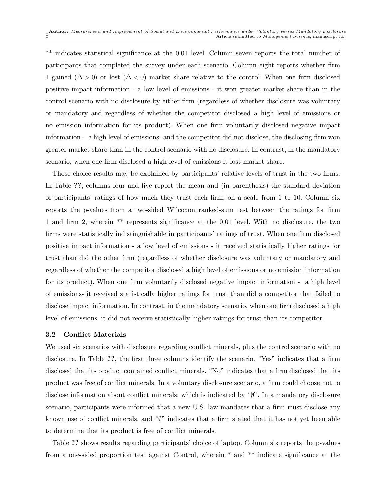\*\* indicates statistical significance at the 0.01 level. Column seven reports the total number of participants that completed the survey under each scenario. Column eight reports whether firm 1 gained  $(\Delta > 0)$  or lost  $(\Delta < 0)$  market share relative to the control. When one firm disclosed positive impact information - a low level of emissions - it won greater market share than in the control scenario with no disclosure by either firm (regardless of whether disclosure was voluntary or mandatory and regardless of whether the competitor disclosed a high level of emissions or no emission information for its product). When one firm voluntarily disclosed negative impact information - a high level of emissions- and the competitor did not disclose, the disclosing firm won greater market share than in the control scenario with no disclosure. In contrast, in the mandatory scenario, when one firm disclosed a high level of emissions it lost market share.

Those choice results may be explained by participants' relative levels of trust in the two firms. In Table ??, columns four and five report the mean and (in parenthesis) the standard deviation of participants' ratings of how much they trust each firm, on a scale from 1 to 10. Column six reports the p-values from a two-sided Wilcoxon ranked-sum test between the ratings for firm 1 and firm 2, wherein \*\* represents significance at the 0.01 level. With no disclosure, the two firms were statistically indistinguishable in participants' ratings of trust. When one firm disclosed positive impact information - a low level of emissions - it received statistically higher ratings for trust than did the other firm (regardless of whether disclosure was voluntary or mandatory and regardless of whether the competitor disclosed a high level of emissions or no emission information for its product). When one firm voluntarily disclosed negative impact information - a high level of emissions- it received statistically higher ratings for trust than did a competitor that failed to disclose impact information. In contrast, in the mandatory scenario, when one firm disclosed a high level of emissions, it did not receive statistically higher ratings for trust than its competitor.

#### 3.2 Conflict Materials

We used six scenarios with disclosure regarding conflict minerals, plus the control scenario with no disclosure. In Table ??, the first three columns identify the scenario. "Yes" indicates that a firm disclosed that its product contained conflict minerals. "No" indicates that a firm disclosed that its product was free of conflict minerals. In a voluntary disclosure scenario, a firm could choose not to disclose information about conflict minerals, which is indicated by "∅". In a mandatory disclosure scenario, participants were informed that a new U.S. law mandates that a firm must disclose any known use of conflict minerals, and "∅" indicates that a firm stated that it has not yet been able to determine that its product is free of conflict minerals.

Table ?? shows results regarding participants' choice of laptop. Column six reports the p-values from a one-sided proportion test against Control, wherein \* and \*\* indicate significance at the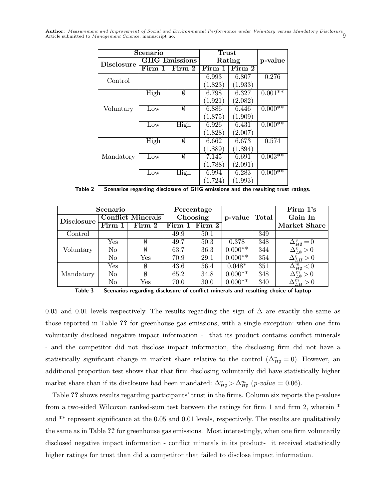Author: *Measurement and Improvement of Social and Environmental Performance under Voluntary versus Mandatory Disclosure* Article submitted to *Management Science*; manuscript no.

|                   | Scenario | ${\bf Trust}$        |         |         |           |
|-------------------|----------|----------------------|---------|---------|-----------|
| <b>Disclosure</b> |          | <b>GHG</b> Emissions | Rating  | p-value |           |
|                   | Firm 1   | Firm 2               | Firm 1  | Firm 2  |           |
| Control           |          |                      | 6.993   | 6.807   | 0.276     |
|                   |          |                      | (1.823) | (1.933) |           |
|                   | High     | Ø                    | 6.798   | 6.327   | $0.001**$ |
|                   |          |                      | (1.921) | (2.082) |           |
| Voluntary         | Low      | Ø                    | 6.886   | 6.446   | $0.000**$ |
|                   |          |                      | (1.875) | (1.909) |           |
|                   | Low      | High                 | 6.926   | 6.431   | $0.000**$ |
|                   |          |                      | (1.828) | (2.007) |           |
|                   | High     | Ø                    | 6.662   | 6.673   | 0.574     |
|                   |          |                      | (1.889) | (1.894) |           |
| Mandatory         | Low      | Ø                    | 7.145   | 6.691   | $0.003**$ |
|                   |          |                      | (1.788) | (2.091) |           |
|                   | Low      | High                 | 6.994   | 6.283   | $0.000**$ |
|                   |          |                      | (1.724) | (1.993) |           |

Table 2 Scenarios regarding disclosure of GHG emissions and the resulting trust ratings.

| Scenario          |                            |                      | Percentage |                               |           |       | Firm 1's                                                                            |
|-------------------|----------------------------|----------------------|------------|-------------------------------|-----------|-------|-------------------------------------------------------------------------------------|
| <b>Disclosure</b> | <b>Conflict Minerals</b>   |                      | Choosing   |                               | p-value   | Total | Gain In                                                                             |
|                   | $\overline{\text{Firm}}$ 1 | Firm 2               |            | Firm $1 \vert$ Firm $2 \vert$ |           |       | Market Share                                                                        |
| Control           |                            |                      | 49.9       | 50.1                          |           | 349   |                                                                                     |
|                   | Yes                        | Ø                    | 49.7       | 50.3                          | 0.378     | 348   | $\Delta_{H\emptyset}^v=0$                                                           |
| Voluntary         | N <sub>o</sub>             | Ø                    | 63.7       | 36.3                          | $0.000**$ | 344   | $\Delta_{L\emptyset}^{v} > 0$<br>$\Delta_{LH}^{v} > 0$                              |
|                   | N <sub>0</sub>             | Yes                  | 70.9       | 29.1                          | $0.000**$ | 354   |                                                                                     |
|                   | Yes                        | Ø                    | 43.6       | 56.4                          | $0.048*$  | 351   | $\overline{\Delta_{H\emptyset}^{m}<0}$                                              |
| Mandatory         | N <sub>o</sub>             | Ø                    | 65.2       | 34.8                          | $0.000**$ | 348   | $\begin{array}{c}\n\Delta_{L\emptyset}^{m} > 0 \\ \Delta_{LH}^{m} > 0\n\end{array}$ |
|                   | No                         | $\operatorname{Yes}$ | 70.0       | 30.0                          | $0.000**$ | 340   |                                                                                     |



0.05 and 0.01 levels respectively. The results regarding the sign of  $\Delta$  are exactly the same as those reported in Table ?? for greenhouse gas emissions, with a single exception: when one firm voluntarily disclosed negative impact information - that its product contains conflict minerals - and the competitor did not disclose impact information, the disclosing firm did not have a statistically significant change in market share relative to the control  $(\Delta_{H\emptyset}^v = 0)$ . However, an additional proportion test shows that that firm disclosing voluntarily did have statistically higher market share than if its disclosure had been mandated:  $\Delta_{H\emptyset}^v > \Delta_{H\emptyset}^m$  (p-value = 0.06).

Table ?? shows results regarding participants' trust in the firms. Column six reports the p-values from a two-sided Wilcoxon ranked-sum test between the ratings for firm 1 and firm 2, wherein \* and \*\* represent significance at the 0.05 and 0.01 levels, respectively. The results are qualitatively the same as in Table ?? for greenhouse gas emissions. Most interestingly, when one firm voluntarily disclosed negative impact information - conflict minerals in its product- it received statistically higher ratings for trust than did a competitor that failed to disclose impact information.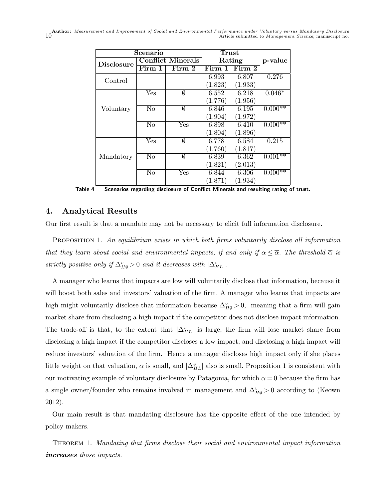Author: *Measurement and Improvement of Social and Environmental Performance under Voluntary versus Mandatory Disclosure* Article submitted to *Management Science*; manuscript no.

|                   | Scenario               | <b>Trust</b>              |         |         |           |
|-------------------|------------------------|---------------------------|---------|---------|-----------|
| <b>Disclosure</b> |                        | <b>Conflict Minerals</b>  | Rating  | p-value |           |
|                   | Firm 1                 | Firm 2                    | Firm 1  | Firm 2  |           |
| Control           |                        |                           | 6.993   | 6.807   | 0.276     |
|                   |                        |                           | (1.823) | (1.933) |           |
|                   | Yes                    | $\emptyset$               | 6.552   | 6.218   | $0.046*$  |
|                   |                        |                           | (1.776) | (1.956) |           |
| Voluntary         | $\rm No$               | Ø                         | 6.846   | 6.195   | $0.000**$ |
|                   |                        |                           | (1.904) | (1.972) |           |
|                   | $\overline{\text{No}}$ | Yes                       | 6.898   | 6.410   | $0.000**$ |
|                   |                        |                           | (1.804) | (1.896) |           |
|                   | Yes                    | Ø                         | 6.778   | 6.584   | 0.215     |
|                   |                        |                           | (1.760) | (1.817) |           |
| Mandatory         | $\overline{\text{No}}$ | Ø                         | 6.839   | 6.362   | $0.001**$ |
|                   |                        |                           | (1.821) | (2.013) |           |
|                   | $\overline{\text{No}}$ | $\overline{\mathrm{Yes}}$ | 6.844   | 6.306   | $0.000**$ |
|                   |                        |                           | (1.871) | (1.934) |           |

Table 4 Scenarios regarding disclosure of Conflict Minerals and resulting rating of trust.

#### 4. Analytical Results

Our first result is that a mandate may not be necessary to elicit full information disclosure.

PROPOSITION 1. An equilibrium exists in which both firms voluntarily disclose all information that they learn about social and environmental impacts, if and only if  $\alpha \leq \overline{\alpha}$ . The threshold  $\overline{\alpha}$  is strictly positive only if  $\Delta_{H\emptyset}^v > 0$  and it decreases with  $|\Delta_{HL}^v|$ .

A manager who learns that impacts are low will voluntarily disclose that information, because it will boost both sales and investors' valuation of the firm. A manager who learns that impacts are high might voluntarily disclose that information because  $\Delta_{H\emptyset}^v > 0$ , meaning that a firm will gain market share from disclosing a high impact if the competitor does not disclose impact information. The trade-off is that, to the extent that  $|\Delta_{HL}^v|$  is large, the firm will lose market share from disclosing a high impact if the competitor discloses a low impact, and disclosing a high impact will reduce investors' valuation of the firm. Hence a manager discloses high impact only if she places little weight on that valuation,  $\alpha$  is small, and  $|\Delta_{HL}^v|$  also is small. Proposition 1 is consistent with our motivating example of voluntary disclosure by Patagonia, for which  $\alpha = 0$  because the firm has a single owner/founder who remains involved in management and  $\Delta_{H\emptyset}^v > 0$  according to (Keown 2012).

Our main result is that mandating disclosure has the opposite effect of the one intended by policy makers.

Theorem 1. Mandating that firms disclose their social and environmental impact information *increases* those impacts.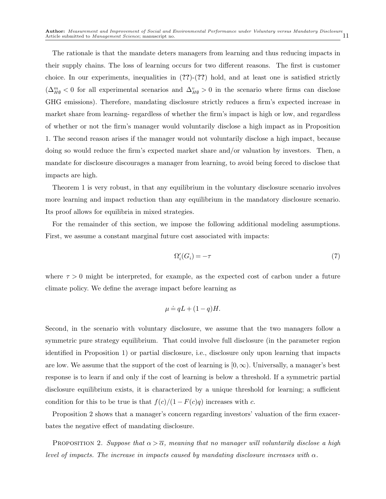The rationale is that the mandate deters managers from learning and thus reducing impacts in their supply chains. The loss of learning occurs for two different reasons. The first is customer choice. In our experiments, inequalities in  $(?)-(?)$  hold, and at least one is satisfied strictly  $(\Delta_{H\emptyset}^m < 0$  for all experimental scenarios and  $\Delta_{H\emptyset}^v > 0$  in the scenario where firms can disclose GHG emissions). Therefore, mandating disclosure strictly reduces a firm's expected increase in market share from learning- regardless of whether the firm's impact is high or low, and regardless of whether or not the firm's manager would voluntarily disclose a high impact as in Proposition 1. The second reason arises if the manager would not voluntarily disclose a high impact, because doing so would reduce the firm's expected market share and/or valuation by investors. Then, a mandate for disclosure discourages a manager from learning, to avoid being forced to disclose that impacts are high.

Theorem 1 is very robust, in that any equilibrium in the voluntary disclosure scenario involves more learning and impact reduction than any equilibrium in the mandatory disclosure scenario. Its proof allows for equilibria in mixed strategies.

For the remainder of this section, we impose the following additional modeling assumptions. First, we assume a constant marginal future cost associated with impacts:

$$
\Omega_i'(G_i) = -\tau \tag{7}
$$

where  $\tau > 0$  might be interpreted, for example, as the expected cost of carbon under a future climate policy. We define the average impact before learning as

$$
\mu \doteq qL + (1-q)H.
$$

Second, in the scenario with voluntary disclosure, we assume that the two managers follow a symmetric pure strategy equilibrium. That could involve full disclosure (in the parameter region identified in Proposition 1) or partial disclosure, i.e., disclosure only upon learning that impacts are low. We assume that the support of the cost of learning is  $[0,\infty)$ . Universally, a manager's best response is to learn if and only if the cost of learning is below a threshold. If a symmetric partial disclosure equilibrium exists, it is characterized by a unique threshold for learning; a sufficient condition for this to be true is that  $f(c)/(1 - F(c)q)$  increases with c.

Proposition 2 shows that a manager's concern regarding investors' valuation of the firm exacerbates the negative effect of mandating disclosure.

PROPOSITION 2. Suppose that  $\alpha > \overline{\alpha}$ , meaning that no manager will voluntarily disclose a high level of impacts. The increase in impacts caused by mandating disclosure increases with  $\alpha$ .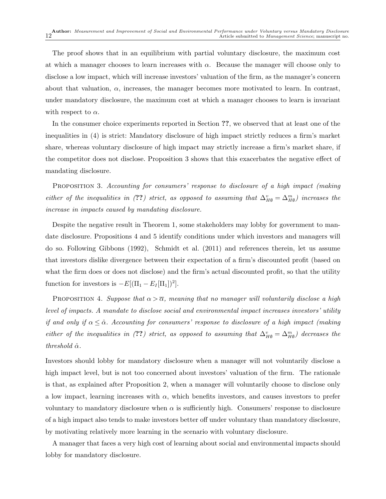The proof shows that in an equilibrium with partial voluntary disclosure, the maximum cost at which a manager chooses to learn increases with  $\alpha$ . Because the manager will choose only to disclose a low impact, which will increase investors' valuation of the firm, as the manager's concern about that valuation,  $\alpha$ , increases, the manager becomes more motivated to learn. In contrast, under mandatory disclosure, the maximum cost at which a manager chooses to learn is invariant with respect to  $\alpha$ .

In the consumer choice experiments reported in Section ??, we observed that at least one of the inequalities in (4) is strict: Mandatory disclosure of high impact strictly reduces a firm's market share, whereas voluntary disclosure of high impact may strictly increase a firm's market share, if the competitor does not disclose. Proposition 3 shows that this exacerbates the negative effect of mandating disclosure.

PROPOSITION 3. Accounting for consumers' response to disclosure of a high impact (making either of the inequalities in (??) strict, as opposed to assuming that  $\Delta_{H\emptyset}^v = \Delta_{H\emptyset}^m$ ) increases the increase in impacts caused by mandating disclosure.

Despite the negative result in Theorem 1, some stakeholders may lobby for government to mandate disclosure. Propositions 4 and 5 identify conditions under which investors and managers will do so. Following Gibbons (1992), Schmidt et al. (2011) and references therein, let us assume that investors dislike divergence between their expectation of a firm's discounted profit (based on what the firm does or does not disclose) and the firm's actual discounted profit, so that the utility function for investors is  $-E[(\Pi_1 - E_I[\Pi_1])^2]$ .

PROPOSITION 4. Suppose that  $\alpha > \overline{\alpha}$ , meaning that no manager will voluntarily disclose a high level of impacts. A mandate to disclose social and environmental impact increases investors' utility if and only if  $\alpha \leq \hat{\alpha}$ . Accounting for consumers' response to disclosure of a high impact (making either of the inequalities in (??) strict, as opposed to assuming that  $\Delta_{H\emptyset}^v = \Delta_{H\emptyset}^m$ ) decreases the threshold  $\hat{\alpha}$ .

Investors should lobby for mandatory disclosure when a manager will not voluntarily disclose a high impact level, but is not too concerned about investors' valuation of the firm. The rationale is that, as explained after Proposition 2, when a manager will voluntarily choose to disclose only a low impact, learning increases with  $\alpha$ , which benefits investors, and causes investors to prefer voluntary to mandatory disclosure when  $\alpha$  is sufficiently high. Consumers' response to disclosure of a high impact also tends to make investors better off under voluntary than mandatory disclosure, by motivating relatively more learning in the scenario with voluntary disclosure.

A manager that faces a very high cost of learning about social and environmental impacts should lobby for mandatory disclosure.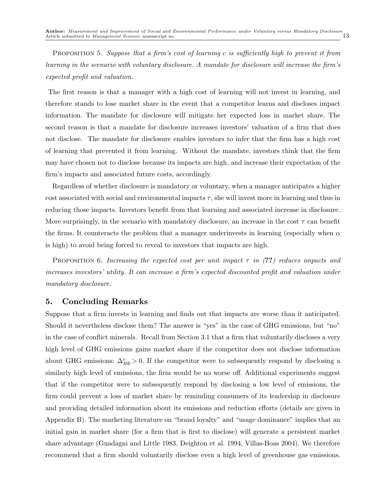PROPOSITION 5. Suppose that a firm's cost of learning c is sufficiently high to prevent it from learning in the scenario with voluntary disclosure. A mandate for disclosure will increase the firm's expected profit and valuation.

The first reason is that a manager with a high cost of learning will not invest in learning, and therefore stands to lose market share in the event that a competitor learns and discloses impact information. The mandate for disclosure will mitigate her expected loss in market share. The second reason is that a mandate for disclosure increases investors' valuation of a firm that does not disclose. The mandate for disclosure enables investors to infer that the firm has a high cost of learning that prevented it from learning. Without the mandate, investors think that the firm may have chosen not to disclose because its impacts are high, and increase their expectation of the firm's impacts and associated future costs, accordingly.

Regardless of whether disclosure is mandatory or voluntary, when a manager anticipates a higher cost associated with social and environmental impacts  $\tau$ , she will invest more in learning and thus in reducing those impacts. Investors benefit from that learning and associated increase in disclosure. More surprisingly, in the scenario with mandatory disclosure, an increase in the cost  $\tau$  can benefit the firms. It counteracts the problem that a manager underinvests in learning (especially when  $\alpha$ is high) to avoid being forced to reveal to investors that impacts are high.

PROPOSITION 6. Increasing the expected cost per unit impact  $\tau$  in (??) reduces impacts and increases investors' utility. It can increase a firm's expected discounted profit and valuation under mandatory disclosure.

#### 5. Concluding Remarks

Suppose that a firm invests in learning and finds out that impacts are worse than it anticipated. Should it nevertheless disclose them? The answer is "yes" in the case of GHG emissions, but "no" in the case of conflict minerals. Recall from Section 3.1 that a firm that voluntarily discloses a very high level of GHG emissions gains market share if the competitor does not disclose information about GHG emissions:  $\Delta_{H\emptyset}^v > 0$ . If the competitor were to subsequently respond by disclosing a similarly high level of emissions, the firm would be no worse off. Additional experiments suggest that if the competitor were to subsequently respond by disclosing a low level of emissions, the firm could prevent a loss of market share by reminding consumers of its leadership in disclosure and providing detailed information about its emissions and reduction efforts (details are given in Appendix B). The marketing literature on "brand loyalty" and "usage dominance" implies that an initial gain in market share (for a firm that is first to disclose) will generate a persistent market share advantage (Guadagni and Little 1983, Deighton et al. 1994, Villas-Boas 2004). We therefore recommend that a firm should voluntarily disclose even a high level of greenhouse gas emissions.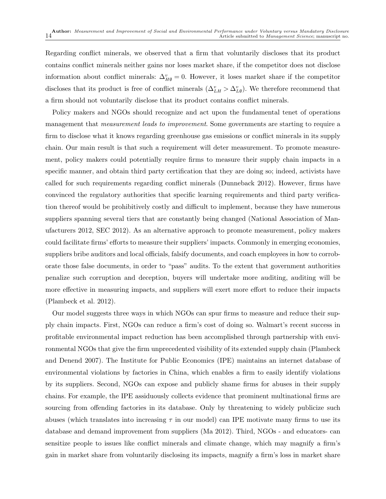Regarding conflict minerals, we observed that a firm that voluntarily discloses that its product contains conflict minerals neither gains nor loses market share, if the competitor does not disclose information about conflict minerals:  $\Delta_{H\emptyset}^v = 0$ . However, it loses market share if the competitor discloses that its product is free of conflict minerals  $(\Delta_{LH}^v > \Delta_{L\emptyset}^v)$ . We therefore recommend that a firm should not voluntarily disclose that its product contains conflict minerals.

Policy makers and NGOs should recognize and act upon the fundamental tenet of operations management that *measurement leads to improvement*. Some governments are starting to require a firm to disclose what it knows regarding greenhouse gas emissions or conflict minerals in its supply chain. Our main result is that such a requirement will deter measurement. To promote measurement, policy makers could potentially require firms to measure their supply chain impacts in a specific manner, and obtain third party certification that they are doing so; indeed, activists have called for such requirements regarding conflict minerals (Dunneback 2012). However, firms have convinced the regulatory authorities that specific learning requirements and third party verification thereof would be prohibitively costly and difficult to implement, because they have numerous suppliers spanning several tiers that are constantly being changed (National Association of Manufacturers 2012, SEC 2012). As an alternative approach to promote measurement, policy makers could facilitate firms' efforts to measure their suppliers' impacts. Commonly in emerging economies, suppliers bribe auditors and local officials, falsify documents, and coach employees in how to corroborate those false documents, in order to "pass" audits. To the extent that government authorities penalize such corruption and deception, buyers will undertake more auditing, auditing will be more effective in measuring impacts, and suppliers will exert more effort to reduce their impacts (Plambeck et al. 2012).

Our model suggests three ways in which NGOs can spur firms to measure and reduce their supply chain impacts. First, NGOs can reduce a firm's cost of doing so. Walmart's recent success in profitable environmental impact reduction has been accomplished through partnership with environmental NGOs that give the firm unprecedented visibility of its extended supply chain (Plambeck and Denend 2007). The Institute for Public Economics (IPE) maintains an internet database of environmental violations by factories in China, which enables a firm to easily identify violations by its suppliers. Second, NGOs can expose and publicly shame firms for abuses in their supply chains. For example, the IPE assiduously collects evidence that prominent multinational firms are sourcing from offending factories in its database. Only by threatening to widely publicize such abuses (which translates into increasing  $\tau$  in our model) can IPE motivate many firms to use its database and demand improvement from suppliers (Ma 2012). Third, NGOs - and educators- can sensitize people to issues like conflict minerals and climate change, which may magnify a firm's gain in market share from voluntarily disclosing its impacts, magnify a firm's loss in market share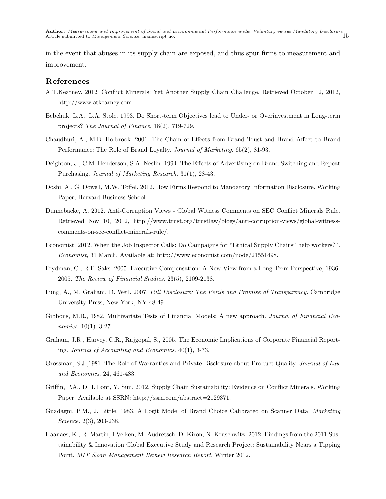in the event that abuses in its supply chain are exposed, and thus spur firms to measurement and improvement.

#### References

- A.T.Kearney. 2012. Conflict Minerals: Yet Another Supply Chain Challenge. Retrieved October 12, 2012, http://www.atkearney.com.
- Bebchuk, L.A., L.A. Stole. 1993. Do Short-term Objectives lead to Under- or Overinvestment in Long-term projects? The Journal of Finance. 18(2), 719-729.
- Chaudhuri, A., M.B. Holbrook. 2001. The Chain of Effects from Brand Trust and Brand Affect to Brand Performance: The Role of Brand Loyalty. Journal of Marketing. 65(2), 81-93.
- Deighton, J., C.M. Henderson, S.A. Neslin. 1994. The Effects of Advertising on Brand Switching and Repeat Purchasing. Journal of Marketing Research. 31(1), 28-43.
- Doshi, A., G. Dowell, M.W. Toffel. 2012. How Firms Respond to Mandatory Information Disclosure. Working Paper, Harvard Business School.
- Dunnebacke, A. 2012. Anti-Corruption Views Global Witness Comments on SEC Conflict Minerals Rule. Retrieved Nov 10, 2012, http://www.trust.org/trustlaw/blogs/anti-corruption-views/global-witnesscomments-on-sec-conflict-minerals-rule/.
- Economist. 2012. When the Job Inspector Calls: Do Campaigns for "Ethical Supply Chains" help workers?". Economist, 31 March. Available at: http://www.economist.com/node/21551498.
- Frydman, C., R.E. Saks. 2005. Executive Compensation: A New View from a Long-Term Perspective, 1936- 2005. The Review of Financial Studies. 23(5), 2109-2138.
- Fung, A., M. Graham, D. Weil. 2007. Full Disclosure: The Perils and Promise of Transparency. Cambridge University Press, New York, NY 48-49.
- Gibbons, M.R., 1982. Multivariate Tests of Financial Models: A new approach. Journal of Financial Economics. 10(1), 3-27.
- Graham, J.R., Harvey, C.R., Rajgopal, S., 2005. The Economic Implications of Corporate Financial Reporting. Journal of Accounting and Economics. 40(1), 3-73.
- Grossman, S.J.,1981. The Role of Warranties and Private Disclosure about Product Quality. Journal of Law and Economics. 24, 461-483.
- Griffin, P.A., D.H. Lont, Y. Sun. 2012. Supply Chain Sustainability: Evidence on Conflict Minerals. Working Paper. Available at SSRN: http://ssrn.com/abstract=2129371.
- Guadagni, P.M., J. Little. 1983. A Logit Model of Brand Choice Calibrated on Scanner Data. Marketing Science. 2(3), 203-238.
- Haanaes, K., R. Martin, I.Velken, M. Audretsch, D. Kiron, N. Kruschwitz. 2012. Findings from the 2011 Sustainability & Innovation Global Executive Study and Research Project: Sustainability Nears a Tipping Point. MIT Sloan Management Review Research Report. Winter 2012.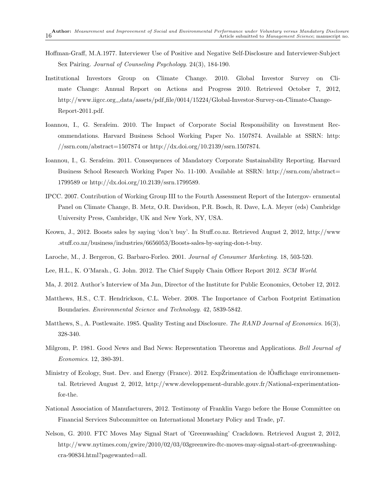- Hoffman-Graff, M.A.1977. Interviewer Use of Positive and Negative Self-Disclosure and Interviewer-Subject Sex Pairing. Journal of Counseling Psychology. 24(3), 184-190.
- Institutional Investors Group on Climate Change. 2010. Global Investor Survey on Climate Change: Annual Report on Actions and Progress 2010. Retrieved October 7, 2012, http://www.iigcc.org\_data/assets/pdf\_file/0014/15224/Global-Investor-Survey-on-Climate-Change-Report-2011.pdf.
- Ioannou, I., G. Serafeim. 2010. The Impact of Corporate Social Responsibility on Investment Recommendations. Harvard Business School Working Paper No. 1507874. Available at SSRN: http: //ssrn.com/abstract=1507874 or http://dx.doi.org/10.2139/ssrn.1507874.
- Ioannou, I., G. Serafeim. 2011. Consequences of Mandatory Corporate Sustainability Reporting. Harvard Business School Research Working Paper No. 11-100. Available at SSRN: http://ssrn.com/abstract= 1799589 or http://dx.doi.org/10.2139/ssrn.1799589.
- IPCC. 2007. Contribution of Working Group III to the Fourth Assessment Report of the Intergov- ernmental Panel on Climate Change, B. Metz, O.R. Davidson, P.R. Bosch, R. Dave, L.A. Meyer (eds) Cambridge University Press, Cambridge, UK and New York, NY, USA.
- Keown, J., 2012. Boosts sales by saying 'don't buy'. In Stuff.co.nz. Retrieved August 2, 2012, http://www .stuff.co.nz/business/industries/6656053/Boosts-sales-by-saying-don-t-buy.
- Laroche, M., J. Bergeron, G. Barbaro-Forleo. 2001. Journal of Consumer Marketing. 18, 503-520.
- Lee, H.L., K. O'Marah., G. John. 2012. The Chief Supply Chain Officer Report 2012. SCM World.
- Ma, J. 2012. Author's Interview of Ma Jun, Director of the Institute for Public Economics, October 12, 2012.
- Matthews, H.S., C.T. Hendrickson, C.L. Weber. 2008. The Importance of Carbon Footprint Estimation Boundaries. Environmental Science and Technology. 42, 5839-5842.
- Matthews, S., A. Postlewaite. 1985. Quality Testing and Disclosure. The RAND Journal of Economics. 16(3), 328-340.
- Milgrom, P. 1981. Good News and Bad News: Representation Theorems and Applications. Bell Journal of Economics. 12, 380-391.
- Ministry of Ecology, Sust. Dev. and Energy (France). 2012. ExpŽrimentation de lOaffichage environnemental. Retrieved August 2, 2012, http://www.developpement-durable.gouv.fr/National-experimentationfor-the.
- National Association of Manufacturers, 2012. Testimony of Franklin Vargo before the House Committee on Financial Services Subcommittee on International Monetary Policy and Trade, p7.
- Nelson, G. 2010. FTC Moves May Signal Start of 'Greenwashing' Crackdown. Retrieved August 2, 2012, http://www.nytimes.com/gwire/2010/02/03/03greenwire-ftc-moves-may-signal-start-of-greenwashingcra-90834.html?pagewanted=all.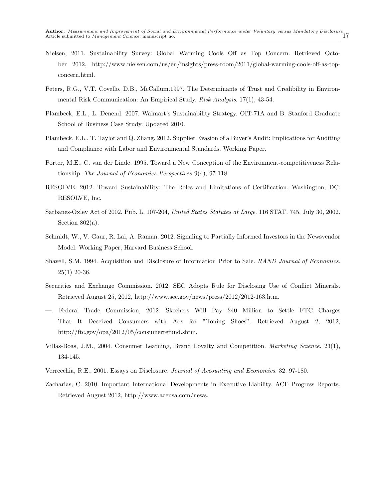- Nielsen, 2011. Sustainability Survey: Global Warming Cools Off as Top Concern. Retrieved October 2012, http://www.nielsen.com/us/en/insights/press-room/2011/global-warming-cools-off-as-topconcern.html.
- Peters, R.G., V.T. Covello, D.B., McCallum.1997. The Determinants of Trust and Credibility in Environmental Risk Communication: An Empirical Study. Risk Analysis. 17(1), 43-54.
- Plambeck, E.L., L. Denend. 2007. Walmart's Sustainability Strategy. OIT-71A and B. Stanford Graduate School of Business Case Study. Updated 2010.
- Plambeck, E.L., T. Taylor and Q. Zhang. 2012. Supplier Evasion of a Buyer's Audit: Implications for Auditing and Compliance with Labor and Environmental Standards. Working Paper.
- Porter, M.E., C. van der Linde. 1995. Toward a New Conception of the Environment-competitiveness Relationship. The Journal of Economics Perspectives 9(4), 97-118.
- RESOLVE. 2012. Toward Sustainability: The Roles and Limitations of Certification. Washington, DC: RESOLVE, Inc.
- Sarbanes-Oxley Act of 2002. Pub. L. 107-204, United States Statutes at Large. 116 STAT. 745. July 30, 2002. Section  $802(a)$ .
- Schmidt, W., V. Gaur, R. Lai, A. Raman. 2012. Signaling to Partially Informed Investors in the Newsvendor Model. Working Paper, Harvard Business School.
- Shavell, S.M. 1994. Acquisition and Disclosure of Information Prior to Sale. RAND Journal of Economics.  $25(1)$  20-36.
- Securities and Exchange Commission. 2012. SEC Adopts Rule for Disclosing Use of Conflict Minerals. Retrieved August 25, 2012, http://www.sec.gov/news/press/2012/2012-163.htm.
- —. Federal Trade Commission, 2012. Skechers Will Pay \$40 Million to Settle FTC Charges That It Deceived Consumers with Ads for "Toning Shoes". Retrieved August 2, 2012, http://ftc.gov/opa/2012/05/consumerrefund.shtm.
- Villas-Boas, J.M., 2004. Consumer Learning, Brand Loyalty and Competition. Marketing Science. 23(1), 134-145.
- Verrecchia, R.E., 2001. Essays on Disclosure. Journal of Accounting and Economics. 32. 97-180.
- Zacharias, C. 2010. Important International Developments in Executive Liability. ACE Progress Reports. Retrieved August 2012, http://www.aceusa.com/news.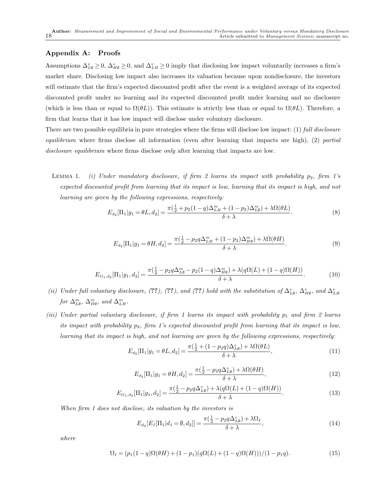#### Appendix A: Proofs

Assumptions  $\Delta_{L\emptyset}^v \ge 0$ ,  $\Delta_{H\emptyset}^v \ge 0$ , and  $\Delta_{L\{H}}^v \ge 0$  imply that disclosing low impact voluntarily increases a firm's market share. Disclosing low impact also increases its valuation because upon nondisclosure, the investors will estimate that the firm's expected discounted profit after the event is a weighted average of its expected discounted profit under no learning and its expected discounted profit under learning and no disclosure (which is less than or equal to  $\Omega(\theta L)$ ). This estimate is strictly less than or equal to  $\Omega(\theta L)$ . Therefore, a firm that learns that it has low impact will disclose under voluntary disclosure.

There are two possible equilibria in pure strategies where the firms will disclose low impact: (1) full disclosure equilibrium where firms disclose all information (even after learning that impacts are high),  $(2)$  partial disclosure equilibrium where firms disclose only after learning that impacts are low.

LEMMA 1. (i) Under mandatory disclosure, if firm 2 learns its impact with probability  $p_2$ , firm 1's expected discounted profit from learning that its impact is low, learning that its impact is high, and not learning are given by the following expressions, respectively:

$$
E_{d_2}[\Pi_1|g_1 = \theta L, d_2] = \frac{\pi(\frac{1}{2} + p_2(1-q)\Delta_{LH}^m + (1-p_2)\Delta_{L\emptyset}^m) + \lambda \Omega(\theta L)}{\delta + \lambda}.
$$
 (8)

$$
E_{d_2}[\Pi_1|g_1 = \theta H, d_2] = \frac{\pi(\frac{1}{2} - p_2 q \Delta_{LH}^m + (1 - p_2)\Delta_{H\emptyset}^m) + \lambda \Omega(\theta H)}{\delta + \lambda}.
$$
\n(9)

$$
E_{G_1,d_2}[\Pi_1|g_1,d_2] = \frac{\pi(\frac{1}{2} - p_2 q \Delta_{L\emptyset}^m - p_2(1-q)\Delta_{H\emptyset}^m) + \lambda(q\Omega(L) + (1-q)\Omega(H))}{\delta + \lambda}.
$$
(10)

- (ii) Under full voluntary disclosure, (??), (??), and (??) hold with the substitution of  $\Delta_{L\emptyset}^v$ ,  $\Delta_{H\emptyset}^v$ , and  $\Delta_{LH}^v$ for  $\Delta_{L\emptyset}^m$ ,  $\Delta_{H\emptyset}^m$ , and  $\Delta_{LH}^m$ .
- (iii) Under partial voluntary disclosure, if firm 1 learns its impact with probability  $p_1$  and firm 2 learns its impact with probability  $p_2$ , firm 1's expected discounted profit from learning that its impact is low, learning that its impact is high, and not learning are given by the following expressions, respectively:

$$
E_{d_2}[\Pi_1|g_1 = \theta L, d_2] = \frac{\pi(\frac{1}{2} + (1 - p_2 q)\Delta_{L\emptyset}^v) + \lambda \Omega(\theta L)}{\delta + \lambda},
$$
\n(11)

$$
E_{d_2}[\Pi_1|g_1 = \theta H, d_2] = \frac{\pi(\frac{1}{2} - p_2 q \Delta_{L\phi}^v) + \lambda \Omega(\theta H)}{\delta + \lambda},
$$
\n(12)

$$
E_{G_1,d_2}[\Pi_1|g_1,d_2] = \frac{\pi(\frac{1}{2} - p_2 q \Delta_{L\emptyset}^v) + \lambda(q\Omega(L) + (1-q)\Omega(H))}{\delta + \lambda}.
$$
\n(13)

When firm 1 does not disclose, its valuation by the investors is

$$
E_{d_2}[E_I[\Pi_1|d_1 = \emptyset, d_2]] = \frac{\pi(\frac{1}{2} - p_2 q \Delta_{L\emptyset}^v) + \lambda \Omega_I}{\delta + \lambda},
$$
\n(14)

where

$$
\Omega_I = (p_1(1-q)\Omega(\theta H) + (1-p_1)(q\Omega(L) + (1-q)\Omega(H)))/(1-p_1q). \tag{15}
$$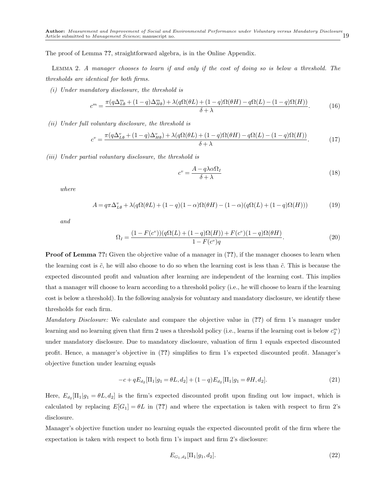The proof of Lemma ??, straightforward algebra, is in the Online Appendix.

Lemma 2. A manager chooses to learn if and only if the cost of doing so is below a threshold. The thresholds are identical for both firms.

(i) Under mandatory disclosure, the threshold is

$$
c^{m} = \frac{\pi(q\Delta_{L\emptyset}^{m} + (1-q)\Delta_{H\emptyset}^{m}) + \lambda(q\Omega(\theta L) + (1-q)\Omega(\theta H) - q\Omega(L) - (1-q)\Omega(H))}{\delta + \lambda}.
$$
 (16)

(ii) Under full voluntary disclosure, the threshold is

$$
c^v = \frac{\pi (q\Delta_{L\emptyset}^v + (1-q)\Delta_{H\emptyset}^v) + \lambda (q\Omega(\theta L) + (1-q)\Omega(\theta H) - q\Omega(L) - (1-q)\Omega(H))}{\delta + \lambda}.
$$
 (17)

(iii) Under partial voluntary disclosure, the threshold is

$$
c^v = \frac{A - q\lambda\alpha\Omega_I}{\delta + \lambda} \tag{18}
$$

where

$$
A = q\pi \Delta_{L\emptyset}^v + \lambda(q\Omega(\theta L) + (1-q)(1-\alpha)\Omega(\theta H) - (1-\alpha)(q\Omega(L) + (1-q)\Omega(H)))\tag{19}
$$

and

$$
\Omega_{I} = \frac{(1 - F(c^{v})) (q\Omega(L) + (1 - q)\Omega(H)) + F(c^{v})(1 - q)\Omega(\theta H)}{1 - F(c^{v})q}.
$$
\n(20)

**Proof of Lemma ??:** Given the objective value of a manager in (??), if the manager chooses to learn when the learning cost is  $\tilde{c}$ , he will also choose to do so when the learning cost is less than  $\tilde{c}$ . This is because the expected discounted profit and valuation after learning are independent of the learning cost. This implies that a manager will choose to learn according to a threshold policy (i.e., he will choose to learn if the learning cost is below a threshold). In the following analysis for voluntary and mandatory disclosure, we identify these thresholds for each firm.

Mandatory Disclosure: We calculate and compare the objective value in (??) of firm 1's manager under learning and no learning given that firm 2 uses a threshold policy (i.e., learns if the learning cost is below  $c_2^m$ ) under mandatory disclosure. Due to mandatory disclosure, valuation of firm 1 equals expected discounted profit. Hence, a manager's objective in (??) simplifies to firm 1's expected discounted profit. Manager's objective function under learning equals

$$
-c + qE_{d_2}[\Pi_1|g_1 = \theta L, d_2] + (1 - q)E_{d_2}[\Pi_1|g_1 = \theta H, d_2].
$$
\n(21)

Here,  $E_{d_2}[\Pi_1|g_1 = \theta L, d_2]$  is the firm's expected discounted profit upon finding out low impact, which is calculated by replacing  $E[G_1] = \theta L$  in (??) and where the expectation is taken with respect to firm 2's disclosure.

Manager's objective function under no learning equals the expected discounted profit of the firm where the expectation is taken with respect to both firm 1's impact and firm 2's disclosure:

$$
E_{G_1,d_2}[\Pi_1|g_1,d_2].
$$
\n(22)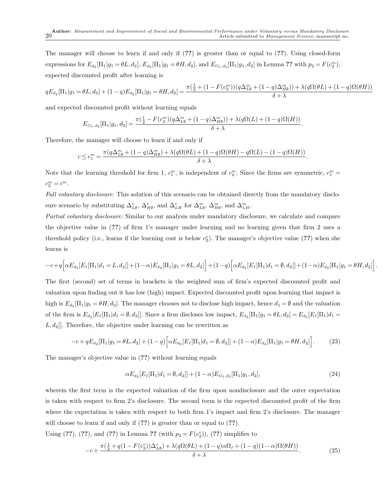The manager will choose to learn if and only if (??) is greater than or equal to (??). Using closed-form expressions for  $E_{d_2}[\Pi_1|g_1 = \theta L, d_2], E_{d_2}[\Pi_1|g_1 = \theta H, d_2],$  and  $E_{G_1, d_2}[\Pi_1|g_1, d_2]$  in Lemma ?? with  $p_2 = F(c_2^m)$ , expected discounted profit after learning is

$$
qE_{d_2}[\Pi_1|g_1 = \theta L, d_2] + (1-q)E_{d_2}[\Pi_1|g_1 = \theta H, d_2] = \frac{\pi(\frac{1}{2} + (1 - F(c_2^m))(q\Delta_{L\emptyset}^m + (1-q)\Delta_{H\emptyset}^m)) + \lambda(q\Omega(\theta L) + (1-q)\Omega(\theta H))}{\delta + \lambda}
$$

and expected discounted profit without learning equals

$$
E_{G_1,d_2}[\Pi_1|g_1,d_2] = \frac{\pi(\frac{1}{2} - F(c_2^m)(q\Delta_{L\emptyset}^m + (1-q)\Delta_{H\emptyset}^m)) + \lambda(q\Omega(L) + (1-q)\Omega(H))}{\delta + \lambda}.
$$

Therefore, the manager will choose to learn if and only if

$$
c\leq c_1^m=\frac{\pi(q\Delta_{L\emptyset}^m+(1-q)\Delta_{H\emptyset}^m)+\lambda(q\Omega(\theta L)+(1-q)\Omega(\theta H)-q\Omega(L)-(1-q)\Omega(H))}{\delta+\lambda}.
$$

Note that the learning threshold for firm 1,  $c_1^m$ , is independent of  $c_2^m$ . Since the firms are symmetric,  $c_1^m$  =  $c_2^m = c^m$ .

Full voluntary disclosure: This solution of this scenario can be obtained directly from the mandatory disclosure scenario by substituting  $\Delta_{L\emptyset}^v$ ,  $\Delta_{H\emptyset}^v$ , and  $\Delta_{LH}^v$  for  $\Delta_{L\emptyset}^m$ ,  $\Delta_{H\emptyset}^m$ , and  $\Delta_{LH}^m$ .

Partial voluntary disclosure: Similar to our analysis under mandatory disclosure, we calculate and compare the objective value in (??) of firm 1's manager under learning and no learning given that firm 2 uses a threshold policy (i.e., learns if the learning cost is below  $c_2^v$ ). The manager's objective value (??) when she learns is

$$
-c + q \Big[ \alpha E_{d_2}[E_I[\Pi_1|d_1=L,d_2]] + (1-\alpha) E_{d_2}[\Pi_1|g_1=\theta L,d_2] \Big] + (1-q) \Big[ \alpha E_{d_2}[E_I[\Pi_1|d_1=\emptyset,d_2]] + (1-\alpha) E_{d_2}[\Pi_1|g_1=\theta H,d_2] \Big]
$$

The first (second) set of terms in brackets is the weighted sum of firm's expected discounted profit and valuation upon finding out it has low (high) impact. Expected discounted profit upon learning that impact is high is  $E_{d_2}[\Pi_1|g_1 = \theta H, d_2]$ . The manager chooses not to disclose high impact, hence  $d_1 = \emptyset$  and the valuation of the firm is  $E_{d_2}[E_I[\Pi_1|d_1 = \emptyset, d_2]]$ . Since a firm discloses low impact,  $E_{d_2}[\Pi_1|g_1 = \emptyset L, d_2] = E_{d_2}[E_I[\Pi_1|d_1 = \emptyset, d_2]]$  $[L, d_2]$ . Therefore, the objective under learning can be rewritten as

$$
-c + qE_{d_2}[\Pi_1|g_1 = \theta L, d_2] + (1 - q)\Big[\alpha E_{d_2}[E_I[\Pi_1|d_1 = \emptyset, d_2]] + (1 - \alpha)E_{d_2}[\Pi_1|g_1 = \theta H, d_2]\Big].
$$
 (23)

The manager's objective value in (??) without learning equals

$$
\alpha E_{d_2}[E_I[\Pi_1|d_1 = \emptyset, d_2]] + (1 - \alpha)E_{G_1, d_2}[\Pi_1|g_1, d_2],\tag{24}
$$

.

wherein the first term is the expected valuation of the firm upon nondisclosure and the outer expectation is taken with respect to firm 2's disclosure. The second term is the expected discounted profit of the firm where the expectation is taken with respect to both firm 1's impact and firm 2's disclosure. The manager will choose to learn if and only if  $(??)$  is greater than or equal to  $(??)$ .

Using (??), (??), and (??) in Lemma ?? (with  $p_2 = F(c_2^v)$ ), (??) simplifies to

$$
-c + \frac{\pi(\frac{1}{2} + q(1 - F(c_2^v))\Delta_{L\emptyset}^v) + \lambda(q\Omega(\theta L) + (1 - q)\alpha \Omega_I + (1 - q)(1 - \alpha)\Omega(\theta H))}{\delta + \lambda}.
$$
 (25)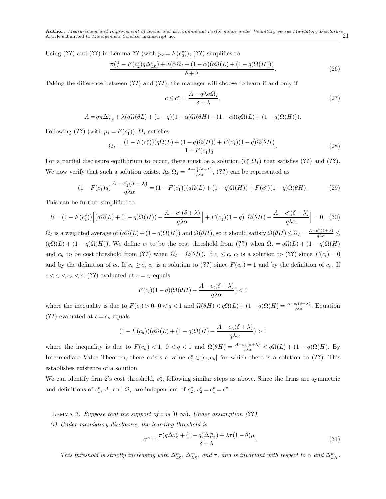Using (??) and (??) in Lemma ?? (with  $p_2 = F(c_2^v)$ ), (??) simplifies to

$$
\frac{\pi(\frac{1}{2} - F(c_2^v)q\Delta_{L\emptyset}^v) + \lambda(\alpha\Omega_I + (1 - \alpha)(q\Omega(L) + (1 - q)\Omega(H)))}{\delta + \lambda}.
$$
\n(26)

Taking the difference between (??) and (??), the manager will choose to learn if and only if

$$
c \le c_1^v = \frac{A - q\lambda \alpha \Omega_I}{\delta + \lambda},\tag{27}
$$

$$
A = q\pi \Delta_{L\emptyset}^v + \lambda(q\Omega(\theta L) + (1-q)(1-\alpha)\Omega(\theta H) - (1-\alpha)(q\Omega(L) + (1-q)\Omega(H))).
$$

Following (??) (with  $p_1 = F(c_1^v)$ ),  $\Omega_I$  satisfies

$$
\Omega_{I} = \frac{(1 - F(c_{1}^{v})) (q\Omega(L) + (1 - q)\Omega(H)) + F(c_{1}^{v})(1 - q)\Omega(\theta H)}{1 - F(c_{1}^{v})q}.
$$
\n(28)

For a partial disclosure equilibrium to occur, there must be a solution  $(c_1^v, \Omega_I)$  that satisfies (??) and (??). We now verify that such a solution exists. As  $\Omega_I = \frac{A - c_I^v(\delta + \lambda)}{q \lambda \alpha}$ , (??) can be represented as

$$
(1 - F(c_1^v)q)\frac{A - c_1^v(\delta + \lambda)}{q\lambda\alpha} = (1 - F(c_1^v))(q\Omega(L) + (1 - q)\Omega(H)) + F(c_1^v)(1 - q)\Omega(\theta H). \tag{29}
$$

This can be further simplified to

$$
R = (1 - F(c_1^v)) \Big[ (q\Omega(L) + (1 - q)\Omega(H)) - \frac{A - c_1^v(\delta + \lambda)}{q\lambda\alpha} \Big] + F(c_1^v)(1 - q) \Big[ \Omega(\theta H) - \frac{A - c_1^v(\delta + \lambda)}{q\lambda\alpha} \Big] = 0. \tag{30}
$$

 $\Omega_I$  is a weighted average of  $(q\Omega(L)+(1-q)\Omega(H))$  and  $\Omega(\theta H)$ , so it should satisfy  $\Omega(\theta H) \leq \Omega_I = \frac{A-c_I^v(\delta+\lambda)}{q\lambda\alpha} \leq$  $(q\Omega(L) + (1-q)\Omega(H))$ . We define  $c_l$  to be the cost threshold from (??) when  $\Omega_I = q\Omega(L) + (1-q)\Omega(H)$ and  $c_h$  to be cost threshold from (??) when  $\Omega_I = \Omega(\theta H)$ . If  $c_l \leq c$ ,  $c_l$  is a solution to (??) since  $F(c_l)=0$ and by the definition of  $c_l$ . If  $c_h \geq \overline{c}$ ,  $c_h$  is a solution to (??) since  $F(c_h) = 1$  and by the definition of  $c_h$ . If  $c \leq c_l \leq c_h \leq \overline{c}$ , (??) evaluated at  $c = c_l$  equals

$$
F(c_l)(1-q)(\Omega(\theta H) - \frac{A - c_l(\delta + \lambda)}{q\lambda\alpha}) < 0
$$

where the inequality is due to  $F(c_l) > 0$ ,  $0 < q < 1$  and  $\Omega(\theta H) < q\Omega(L) + (1 - q)\Omega(H) = \frac{A - c_l(\delta + \lambda)}{q\lambda \alpha}$ . Equation (??) evaluated at  $c = c_h$  equals

$$
(1 - F(c_h))(q\Omega(L) + (1 - q)\Omega(H) - \frac{A - c_h(\delta + \lambda)}{q\lambda\alpha}) > 0
$$

where the inequality is due to  $F(c_h) < 1$ ,  $0 < q < 1$  and  $\Omega(\theta H) = \frac{A - c_h(\delta + \lambda)}{q \lambda \alpha} < q\Omega(L) + (1 - q)\Omega(H)$ . By Intermediate Value Theorem, there exists a value  $c_1^v \in [c_l, c_h]$  for which there is a solution to (??). This establishes existence of a solution.

We can identify firm 2's cost threshold,  $c_2^v$ , following similar steps as above. Since the firms are symmetric and definitions of  $c_1^v$ , A, and  $\Omega_I$  are independent of  $c_2^v$ ,  $c_2^v = c_1^v = c^v$ .

LEMMA 3. Suppose that the support of c is  $[0,\infty)$ . Under assumption (??),

(i) Under mandatory disclosure, the learning threshold is

$$
c^{m} = \frac{\pi (q\Delta_{L\emptyset}^{m} + (1-q)\Delta_{H\emptyset}^{m}) + \lambda \tau (1-\theta)\mu}{\delta + \lambda}.
$$
\n(31)

This threshold is strictly increasing with  $\Delta_{L\emptyset}^m$ ,  $\Delta_{H\emptyset}^m$ , and  $\tau$ , and is invariant with respect to  $\alpha$  and  $\Delta_{L\{H}}^m$ .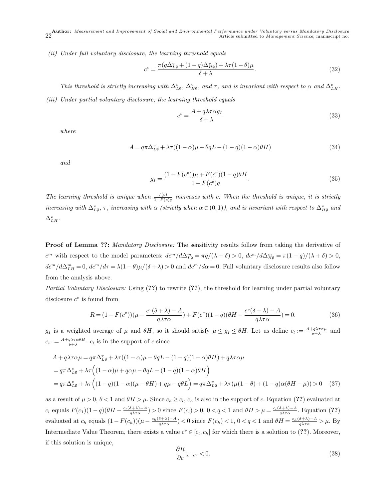(ii) Under full voluntary disclosure, the learning threshold equals

$$
c^{v} = \frac{\pi (q\Delta_{L\emptyset}^{v} + (1-q)\Delta_{H\emptyset}^{v}) + \lambda \tau (1-\theta)\mu}{\delta + \lambda}.
$$
\n(32)

This threshold is strictly increasing with  $\Delta_{L\emptyset}^v$ ,  $\Delta_{H\emptyset}^v$ , and  $\tau$ , and is invariant with respect to  $\alpha$  and  $\Delta_{L\{H}}^v$ .

(iii) Under partial voluntary disclosure, the learning threshold equals

$$
c^v = \frac{A + q\lambda \tau \alpha g_I}{\delta + \lambda} \tag{33}
$$

where

$$
A = q\pi \Delta_{L\emptyset}^v + \lambda \tau ((1 - \alpha)\mu - \theta qL - (1 - q)(1 - \alpha)\theta H)
$$
\n(34)

and

$$
g_I = \frac{(1 - F(c^v))\mu + F(c^v)(1 - q)\theta H}{1 - F(c^v)q}.
$$
\n(35)

The learning threshold is unique when  $\frac{f(c)}{1-F(c)}q$  increases with c. When the threshold is unique, it is strictly increasing with  $\Delta_{L\emptyset}^v$ ,  $\tau$ , increasing with  $\alpha$  (strictly when  $\alpha \in (0,1)$ ), and is invariant with respect to  $\Delta_{H\emptyset}^v$  and  $\Delta_{LH}^v$ .

**Proof of Lemma ??:** Mandatory Disclosure: The sensitivity results follow from taking the derivative of  $c^m$  with respect to the model parameters:  $dc^m/d\Delta_{L\emptyset}^m = \pi q/(\lambda + \delta) > 0$ ,  $dc^m/d\Delta_{H\emptyset}^m = \pi (1 - q)/(\lambda + \delta) > 0$ ,  $dc^m/d\Delta_{LH}^m=0, d c^m/d\tau=\lambda(1-\theta)\mu/(\delta+\lambda)>0$  and  $dc^m/d\alpha=0$ . Full voluntary disclosure results also follow from the analysis above.

Partial Voluntary Disclosure: Using (??) to rewrite (??), the threshold for learning under partial voluntary disclosure  $c^v$  is found from

$$
R = (1 - F(c^v))\left(\mu - \frac{c^v(\delta + \lambda) - A}{q\lambda\tau\alpha}\right) + F(c^v)(1 - q)\left(\theta H - \frac{c^v(\delta + \lambda) - A}{q\lambda\tau\alpha}\right) = 0.
$$
\n(36)

 $g_I$  is a weighted average of  $\mu$  and  $\theta H$ , so it should satisfy  $\mu \leq g_I \leq \theta H$ . Let us define  $c_i := \frac{A + g\lambda\tau\alpha\mu}{\delta + \lambda}$  and  $c_h := \frac{A + q\lambda\tau\alpha\theta H}{\delta + \lambda}$ .  $c_l$  is in the support of c since

$$
A + q\lambda\tau\alpha\mu = q\pi\Delta_{L\emptyset}^v + \lambda\tau((1-\alpha)\mu - \theta qL - (1-q)(1-\alpha)\theta H) + q\lambda\tau\alpha\mu
$$
  
=  $q\pi\Delta_{L\emptyset}^v + \lambda\tau((1-\alpha)\mu + q\alpha\mu - \theta qL - (1-q)(1-\alpha)\theta H)$   
=  $q\pi\Delta_{L\emptyset}^v + \lambda\tau((1-q)(1-\alpha)(\mu - \theta H) + q\mu - q\theta L) = q\pi\Delta_{L\emptyset}^v + \lambda\tau(\mu(1-\theta) + (1-q)\alpha(\theta H - \mu)) > 0$  (37)

as a result of  $\mu > 0$ ,  $\theta < 1$  and  $\theta H > \mu$ . Since  $c_h \geq c_l$ ,  $c_h$  is also in the support of c. Equation (??) evaluated at  $c_l$  equals  $F(c_1)(1-q)(\theta H - \frac{c_l(\delta+\lambda)-A}{q\lambda\tau\alpha}) > 0$  since  $F(c_l) > 0$ ,  $0 < q < 1$  and  $\theta H > \mu = \frac{c_l(\delta+\lambda)-A}{q\lambda\tau\alpha}$ . Equation (??) evaluated at  $c_h$  equals  $(1 - F(c_h))(\mu - \frac{c_h(\delta + \lambda) - A}{q\lambda \tau \alpha}) < 0$  since  $F(c_h) < 1$ ,  $0 < q < 1$  and  $\theta H = \frac{c_h(\delta + \lambda) - A}{q\lambda \tau \alpha} > \mu$ . By Intermediate Value Theorem, there exists a value  $c^v \in [c_l, c_h]$  for which there is a solution to (??). Moreover, if this solution is unique,

$$
\frac{\partial R}{\partial c}|_{c=c^v} < 0. \tag{38}
$$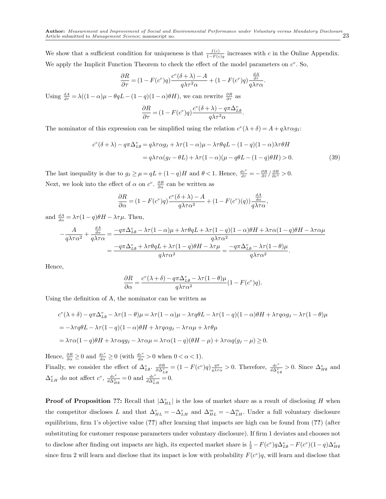We show that a sufficient condition for uniqueness is that  $\frac{f(c)}{1-F(c)}q$  increases with c in the Online Appendix. We apply the Implicit Function Theorem to check the effect of the model parameters on  $c^v$ . So,

$$
\frac{\partial R}{\partial \tau} = (1 - F(c^v)q) \frac{c^v(\delta + \lambda) - A}{q\lambda \tau^2 \alpha} + (1 - F(c^v)q) \frac{\frac{dA}{d\tau}}{q\lambda \tau \alpha}.
$$

Using  $\frac{dA}{d\tau} = \lambda((1-\alpha)\mu - \theta qL - (1-q)(1-\alpha)\theta H)$ , we can rewrite  $\frac{\partial R}{\partial \tau}$  as

$$
\frac{\partial R}{\partial \tau} = (1 - F(c^v)q) \frac{c^v(\delta + \lambda) - q\pi \Delta_{L\emptyset}^v}{q\lambda \tau^2 \alpha}.
$$

The nominator of this expression can be simplified using the relation  $c^v(\lambda + \delta) = A + q\lambda \tau \alpha g_I$ :

$$
c^{v}(\delta + \lambda) - q\pi \Delta_{L\emptyset}^{v} = q\lambda \tau \alpha g_{I} + \lambda \tau (1 - \alpha)\mu - \lambda \tau \theta qL - (1 - q)(1 - \alpha)\lambda \tau \theta H
$$
  

$$
= q\lambda \tau \alpha (g_{I} - \theta L) + \lambda \tau (1 - \alpha)(\mu - q\theta L - (1 - q)\theta H) > 0.
$$
 (39)

The last inequality is due to  $g_I \geq \mu = qL + (1 - q)H$  and  $\theta < 1$ . Hence,  $\frac{dc^v}{d\tau} = -\frac{\partial R}{\partial \tau} / \frac{\partial R}{\partial c^v} > 0$ . Next, we look into the effect of  $\alpha$  on  $c^v$ .  $\frac{\partial R}{\partial \alpha}$  can be written as

$$
\frac{\partial R}{\partial \alpha} = (1 - F(c^v)q) \frac{c^v(\delta + \lambda) - A}{q\lambda \tau \alpha^2} + (1 - F(c^v)(q)) \frac{\frac{dA}{d\alpha}}{q\lambda \tau \alpha},
$$

and  $\frac{dA}{d\alpha} = \lambda \tau (1-q) \theta H - \lambda \tau \mu$ . Then,

$$
-\frac{A}{q\lambda\tau\alpha^2} + \frac{\frac{dA}{d\alpha}}{q\lambda\tau\alpha} = \frac{-q\pi\Delta_{L\emptyset}^v - \lambda\tau(1-\alpha)\mu + \lambda\tau\theta qL + \lambda\tau(1-q)(1-\alpha)\theta H + \lambda\tau\alpha(1-q)\theta H - \lambda\tau\alpha\mu}{q\lambda\tau\alpha^2}
$$
  
= 
$$
\frac{-q\pi\Delta_{L\emptyset}^v + \lambda\tau\theta qL + \lambda\tau(1-q)\theta H - \lambda\tau\mu}{q\lambda\tau\alpha^2} = \frac{-q\pi\Delta_{L\emptyset}^v - \lambda\tau(1-\theta)\mu}{q\lambda\tau\alpha^2}.
$$

Hence,

$$
\frac{\partial R}{\partial \alpha} = \frac{c^v(\lambda + \delta) - q\pi \Delta_{L\emptyset}^v - \lambda \tau (1 - \theta)\mu}{q\lambda \tau \alpha^2} (1 - F(c^v)q).
$$

Using the definition of A, the nominator can be written as

$$
c^{v}(\lambda + \delta) - q\pi \Delta_{L\theta}^{v} - \lambda \tau (1 - \theta)\mu = \lambda \tau (1 - \alpha)\mu - \lambda \tau q\theta L - \lambda \tau (1 - q)(1 - \alpha)\theta H + \lambda \tau q\alpha g_{I} - \lambda \tau (1 - \theta)\mu
$$
  
=  $-\lambda \tau q\theta L - \lambda \tau (1 - q)(1 - \alpha)\theta H + \lambda \tau q\alpha g_{I} - \lambda \tau \alpha \mu + \lambda \tau \theta \mu$   
=  $\lambda \tau \alpha (1 - q)\theta H + \lambda \tau \alpha q g_{I} - \lambda \tau \alpha \mu = \lambda \tau \alpha (1 - q)(\theta H - \mu) + \lambda \tau \alpha q (g_{I} - \mu) \ge 0.$ 

Hence,  $\frac{\partial R}{\partial \alpha} \ge 0$  and  $\frac{dc^v}{d\alpha} \ge 0$  (with  $\frac{dc^v}{d\alpha} > 0$  when  $0 < \alpha < 1$ ). Finally, we consider the effect of  $\Delta_{L\emptyset}^v$ .  $\frac{\partial R}{\partial \Delta_{L\emptyset}^v} = (1 - F(c^v)q) \frac{q\pi}{q\lambda\tau\alpha} > 0$ . Therefore,  $\frac{dc^v}{d \Delta_{L\emptyset}^v} > 0$ . Since  $\Delta_{H\emptyset}^v$  and  $\Delta_{LH}^v$  do not affect  $c^v$ ,  $\frac{dc^v}{d\Delta_{H\emptyset}^v} = 0$  and  $\frac{dc^v}{d\Delta_{LH}^v} = 0$ .

**Proof of Proposition ??:** Recall that  $|\Delta_{HL}^v|$  is the loss of market share as a result of disclosing H when the competitor discloses L and that  $\Delta_{HL}^v = -\Delta_{LH}^v$  and  $\Delta_{HL}^m = -\Delta_{LH}^m$ . Under a full voluntary disclosure equilibrium, firm 1's objective value (??) after learning that impacts are high can be found from (??) (after substituting for customer response parameters under voluntary disclosure). If firm 1 deviates and chooses not to disclose after finding out impacts are high, its expected market share is  $\frac{1}{2} - F(c^v)q\Delta_{L\emptyset}^v - F(c^v)(1-q)\Delta_{H\emptyset}^v$ since firm 2 will learn and disclose that its impact is low with probability  $F(c^v)q$ , will learn and disclose that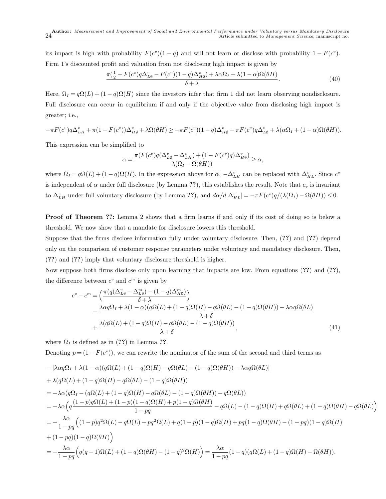its impact is high with probability  $F(c^v)(1-q)$  and will not learn or disclose with probability  $1-F(c^v)$ . Firm 1's discounted profit and valuation from not disclosing high impact is given by

$$
\frac{\pi(\frac{1}{2} - F(c^v)q\Delta_{L\emptyset}^v - F(c^v)(1-q)\Delta_{H\emptyset}^v) + \lambda\alpha\Omega_I + \lambda(1-\alpha)\Omega(\theta H)}{\delta + \lambda}.
$$
\n(40)

Here,  $\Omega_I = q\Omega(L) + (1-q)\Omega(H)$  since the investors infer that firm 1 did not learn observing nondisclosure. Full disclosure can occur in equilibrium if and only if the objective value from disclosing high impact is greater; i.e.,

$$
-\pi F(c^v)q\Delta_{LH}^v + \pi(1 - F(c^v))\Delta_{H\emptyset}^v + \lambda \Omega(\theta H) \ge -\pi F(c^v)(1 - q)\Delta_{H\emptyset}^v - \pi F(c^v)q\Delta_{L\emptyset}^v + \lambda(\alpha \Omega_I + (1 - \alpha)\Omega(\theta H)).
$$

This expression can be simplified to

$$
\overline{\alpha} = \frac{\pi(F(c^v)q(\Delta_{L\emptyset}^v - \Delta_{LH}^v) + (1 - F(c^v)q)\Delta_{H\emptyset}^v)}{\lambda(\Omega_I - \Omega(\theta H))} \ge \alpha,
$$

where  $\Omega_I = q\Omega(L) + (1-q)\Omega(H)$ . In the expression above for  $\overline{\alpha}$ ,  $-\Delta_{LH}^v$  can be replaced with  $\Delta_{HL}^v$ . Since  $c^v$ is independent of  $\alpha$  under full disclosure (by Lemma ??), this establishes the result. Note that  $c_v$  is invariant to  $\Delta_{LH}^v$  under full voluntary disclosure (by Lemma ??), and  $d\overline{\alpha}/d|\Delta_{HL}^v| = -\pi F(c^v)q/(\lambda(\Omega_I) - \Omega(\theta H)) \leq 0$ .

Proof of Theorem ??: Lemma 2 shows that a firm learns if and only if its cost of doing so is below a threshold. We now show that a mandate for disclosure lowers this threshold.

Suppose that the firms disclose information fully under voluntary disclosure. Then, (??) and (??) depend only on the comparison of customer response parameters under voluntary and mandatory disclosure. Then, (??) and (??) imply that voluntary disclosure threshold is higher.

Now suppose both firms disclose only upon learning that impacts are low. From equations (??) and (??), the difference between  $c^v$  and  $c^m$  is given by

$$
c^{v} - c^{m} = \left(\frac{\pi(q(\Delta_{L\emptyset}^{v} - \Delta_{L\emptyset}^{m}) - (1-q)\Delta_{H\emptyset}^{m})}{\delta + \lambda}\right) \n- \frac{\lambda\alpha q\Omega_{I} + \lambda(1-\alpha)(q\Omega(L) + (1-q)\Omega(H) - q\Omega(\theta L) - (1-q)\Omega(\theta H)) - \lambda\alpha q\Omega(\theta L)}{\lambda + \delta} \n+ \frac{\lambda(q\Omega(L) + (1-q)\Omega(H) - q\Omega(\theta L) - (1-q)\Omega(\theta H))}{\lambda + \delta},
$$
\n(41)

where  $\Omega_I$  is defined as in (??) in Lemma ??.

Denoting  $p = (1 - F(c^v))$ , we can rewrite the nominator of the sum of the second and third terms as

$$
- \left[\lambda \alpha q \Omega_I + \lambda (1 - \alpha)(q \Omega(L) + (1 - q) \Omega(H) - q \Omega(\theta L) - (1 - q) \Omega(\theta H)) - \lambda \alpha q \Omega(\theta L)\right]
$$
  
+ 
$$
\lambda (q \Omega(L) + (1 - q) \Omega(H) - q \Omega(\theta L) - (1 - q) \Omega(\theta H))
$$
  
= 
$$
- \lambda \alpha (q \Omega_I - (q \Omega(L) + (1 - q) \Omega(H) - q \Omega(\theta L) - (1 - q) \Omega(\theta H)) - q \Omega(\theta L))
$$
  
= 
$$
- \lambda \alpha \left(q \frac{(1 - p)q \Omega(L) + (1 - p)(1 - q) \Omega(H) + p(1 - q) \Omega(\theta H)}{1 - pq} - q \Omega(L) - (1 - q) \Omega(H) + q \Omega(\theta L) + (1 - q) \Omega(\theta H) - q \Omega(\theta L)\right)
$$
  
= 
$$
- \frac{\lambda \alpha}{1 - pq} \left((1 - p)q^2 \Omega(L) - q \Omega(L) + pq^2 \Omega(L) + q(1 - p)(1 - q) \Omega(H) + pq(1 - q) \Omega(\theta H) - (1 - pq)(1 - q) \Omega(H) + (1 - pq)(1 - q) \Omega(\theta H)\right)
$$
  
+ 
$$
(1 - pq)(1 - q) \Omega(\theta H)
$$
  
= 
$$
- \frac{\lambda \alpha}{1 - pq} \left(q(q - 1) \Omega(L) + (1 - q) \Omega(\theta H) - (1 - q)^2 \Omega(H)\right) = \frac{\lambda \alpha}{1 - pq} (1 - q)(q \Omega(L) + (1 - q) \Omega(H) - \Omega(\theta H)).
$$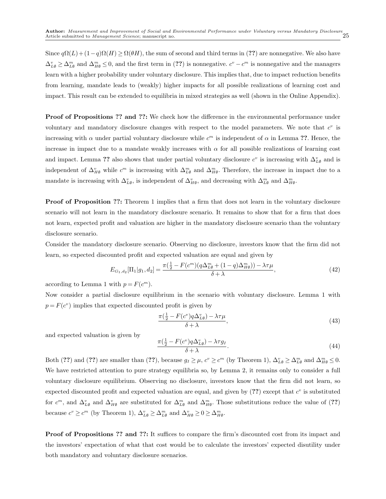Since  $q\Omega(L) + (1-q)\Omega(H) \geq \Omega(\theta H)$ , the sum of second and third terms in (??) are nonnegative. We also have  $\Delta_{L\emptyset}^v \geq \Delta_{L\emptyset}^m$  and  $\Delta_{H\emptyset}^m \leq 0$ , and the first term in (??) is nonnegative.  $c^v - c^m$  is nonnegative and the managers learn with a higher probability under voluntary disclosure. This implies that, due to impact reduction benefits from learning, mandate leads to (weakly) higher impacts for all possible realizations of learning cost and impact. This result can be extended to equilibria in mixed strategies as well (shown in the Online Appendix).

Proof of Propositions ?? and ??: We check how the difference in the environmental performance under voluntary and mandatory disclosure changes with respect to the model parameters. We note that  $c^v$  is increasing with  $\alpha$  under partial voluntary disclosure while  $c^m$  is independent of  $\alpha$  in Lemma ??. Hence, the increase in impact due to a mandate weakly increases with  $\alpha$  for all possible realizations of learning cost and impact. Lemma ?? also shows that under partial voluntary disclosure  $c^v$  is increasing with  $\Delta_{L\emptyset}^v$  and is independent of  $\Delta_{H\emptyset}^v$  while  $c^m$  is increasing with  $\Delta_{L\emptyset}^m$  and  $\Delta_{H\emptyset}^m$ . Therefore, the increase in impact due to a mandate is increasing with  $\Delta_{L\emptyset}^v$ , is independent of  $\Delta_{H\emptyset}^v$ , and decreasing with  $\Delta_{L\emptyset}^m$  and  $\Delta_{H\emptyset}^m$ .

**Proof of Proposition ??:** Theorem 1 implies that a firm that does not learn in the voluntary disclosure scenario will not learn in the mandatory disclosure scenario. It remains to show that for a firm that does not learn, expected profit and valuation are higher in the mandatory disclosure scenario than the voluntary disclosure scenario.

Consider the mandatory disclosure scenario. Observing no disclosure, investors know that the firm did not learn, so expected discounted profit and expected valuation are equal and given by

$$
E_{G_1,d_2}[\Pi_1|g_1,d_2] = \frac{\pi(\frac{1}{2} - F(c^m)(q\Delta_{L\emptyset}^m + (1-q)\Delta_{H\emptyset}^m)) - \lambda \tau \mu}{\delta + \lambda},\tag{42}
$$

according to Lemma 1 with  $p = F(c^m)$ .

Now consider a partial disclosure equilibrium in the scenario with voluntary disclosure. Lemma 1 with  $p = F(c^v)$  implies that expected discounted profit is given by

$$
\frac{\pi(\frac{1}{2} - F(c^v)q\Delta_{L\emptyset}^v) - \lambda\tau\mu}{\delta + \lambda},\tag{43}
$$

and expected valuation is given by

$$
\frac{\pi(\frac{1}{2} - F(c^v)q\Delta_{L\emptyset}^v) - \lambda \tau g_I}{\delta + \lambda}.
$$
\n(44)

Both (??) and (??) are smaller than (??), because  $g_I \geq \mu$ ,  $c^v \geq c^m$  (by Theorem 1),  $\Delta_{L\emptyset}^v \geq \Delta_{L\emptyset}^m$  and  $\Delta_{H\emptyset}^m \leq 0$ . We have restricted attention to pure strategy equilibria so, by Lemma 2, it remains only to consider a full voluntary disclosure equilibrium. Observing no disclosure, investors know that the firm did not learn, so expected discounted profit and expected valuation are equal, and given by  $(?)$  except that  $c^v$  is substituted for  $c^m$ , and  $\Delta_{L\emptyset}^v$  and  $\Delta_{H\emptyset}^v$  are substituted for  $\Delta_{L\emptyset}^m$  and  $\Delta_{H\emptyset}^m$ . Those substitutions reduce the value of (??) because  $c^v \geq c^m$  (by Theorem 1),  $\Delta_{L\emptyset}^v \geq \Delta_{L\emptyset}^m$  and  $\Delta_{H\emptyset}^v \geq 0 \geq \Delta_{H\emptyset}^m$ .

**Proof of Propositions ?? and ??:** It suffices to compare the firm's discounted cost from its impact and the investors' expectation of what that cost would be to calculate the investors' expected disutility under both mandatory and voluntary disclosure scenarios.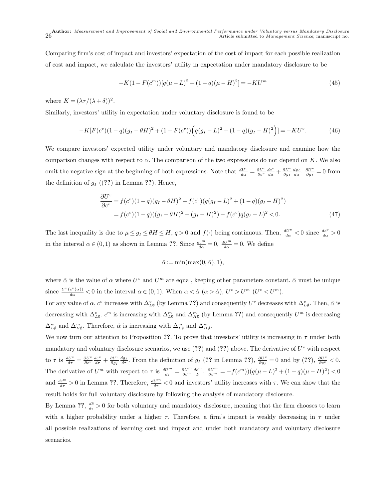Comparing firm's cost of impact and investors' expectation of the cost of impact for each possible realization of cost and impact, we calculate the investors' utility in expectation under mandatory disclosure to be

$$
-K(1 - F(cm))[q(\mu - L)2 + (1 - q)(\mu - H)2] = -KUm
$$
\n(45)

where  $K = (\lambda \tau/(\lambda + \delta))^2$ .

Similarly, investors' utility in expectation under voluntary disclosure is found to be

$$
-K[F(cv)(1-q)(gI - \theta H)2 + (1 - F(cv))\Big(g(gI - L)2 + (1 - q)(gI - H)2\Big) = -KUv.
$$
 (46)

We compare investors' expected utility under voluntary and mandatory disclosure and examine how the comparison changes with respect to  $\alpha$ . The comparison of the two expressions do not depend on K. We also omit the negative sign at the beginning of both expressions. Note that  $\frac{dU^v}{d\alpha} = \frac{\partial U^v}{\partial c^v} \frac{d c^v}{d\alpha} + \frac{\partial U^v}{\partial g_I} \frac{d g_I}{d\alpha}$ .  $\frac{\partial U^v}{\partial g_I} = 0$  from the definition of  $g_I$  ((??) in Lemma ??). Hence,

$$
\frac{\partial U^{\nu}}{\partial c^{\nu}} = f(c^{\nu})(1-q)(g_I - \theta H)^2 - f(c^{\nu})(q(g_I - L)^2 + (1-q)(g_I - H)^2) \n= f(c^{\nu})(1-q)((g_I - \theta H)^2 - (g_I - H)^2) - f(c^{\nu})q(g_I - L)^2 < 0.
$$
\n(47)

The last inequality is due to  $\mu \leq g_I \leq \theta H \leq H$ ,  $q > 0$  and  $f(\cdot)$  being continuous. Then,  $\frac{dU^v}{d\alpha} < 0$  since  $\frac{dc^v}{d\alpha} > 0$ in the interval  $\alpha \in (0,1)$  as shown in Lemma ??. Since  $\frac{dc^m}{d\alpha} = 0$ ,  $\frac{dU^m}{d\alpha} = 0$ . We define

$$
\hat{\alpha} := \min(\max(0, \tilde{\alpha}), 1),
$$

where  $\tilde{\alpha}$  is the value of  $\alpha$  where  $U^v$  and  $U^m$  are equal, keeping other parameters constant.  $\hat{\alpha}$  must be unique since  $\frac{U^v(c^v(\alpha))}{d\alpha} < 0$  in the interval  $\alpha \in (0,1)$ . When  $\alpha < \hat{\alpha}$   $(\alpha > \hat{\alpha})$ ,  $U^v > U^m$   $(U^v < U^m)$ .

For any value of  $\alpha$ ,  $c^v$  increases with  $\Delta_{L\emptyset}^v$  (by Lemma ??) and consequently  $U^v$  decreases with  $\Delta_{L\emptyset}^v$ . Then,  $\hat{\alpha}$  is decreasing with  $\Delta_{L\emptyset}^v$ .  $c^m$  is increasing with  $\Delta_{L\emptyset}^m$  and  $\Delta_{H\emptyset}^m$  (by Lemma ??) and consequently  $U^m$  is decreasing  $\Delta_{L\emptyset}^m$  and  $\Delta_{H\emptyset}^m$ . Therefore,  $\hat{\alpha}$  is increasing with  $\Delta_{L\emptyset}^m$  and  $\Delta_{H\emptyset}^m$ .

We now turn our attention to Proposition ??. To prove that investors' utility is increasing in  $\tau$  under both mandatory and voluntary disclosure scenarios, we use  $(??)$  and  $(??)$  above. The derivative of  $U^v$  with respect to  $\tau$  is  $\frac{dU^v}{d\tau} = \frac{\partial U^v}{\partial c^v}\frac{dc^v}{d\tau} + \frac{\partial U^v}{\partial g_I}\frac{dg_I}{d\tau}$ . From the definition of  $g_I$  (?? in Lemma ??),  $\frac{\partial U^v}{\partial g_I} = 0$  and by (??),  $\frac{\partial U^v}{\partial c^v} < 0$ . The derivative of  $U^m$  with respect to  $\tau$  is  $\frac{dU^m}{d\tau} = \frac{\partial U^m}{\partial c^m} \frac{d c^m}{d\tau}$ .  $\frac{\partial U^m}{\partial c^m} = -f(c^m) \left( q(\mu - L)^2 + (1 - q)(\mu - H)^2 \right) < 0$ and  $\frac{dc^m}{d\tau} > 0$  in Lemma ??. Therefore,  $\frac{dU^m}{d\tau} < 0$  and investors' utility increases with  $\tau$ . We can show that the result holds for full voluntary disclosure by following the analysis of mandatory disclosure.

By Lemma ??,  $\frac{d\hat{c}}{d\tau} > 0$  for both voluntary and mandatory disclosure, meaning that the firm chooses to learn with a higher probability under a higher  $\tau$ . Therefore, a firm's impact is weakly decreasing in  $\tau$  under all possible realizations of learning cost and impact and under both mandatory and voluntary disclosure scenarios.